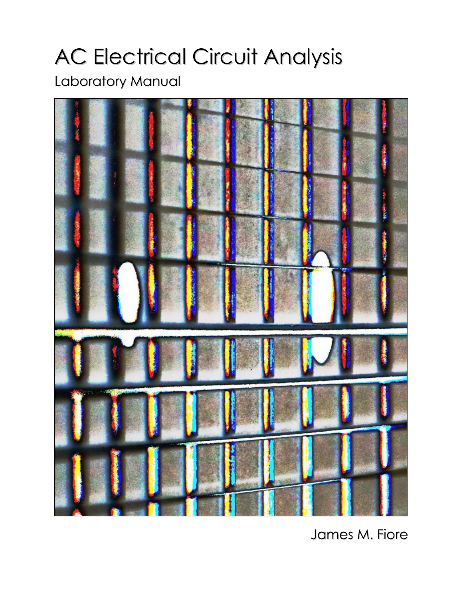# AC Electrical Circuit Analysis

## Laboratory Manual



James M. Fiore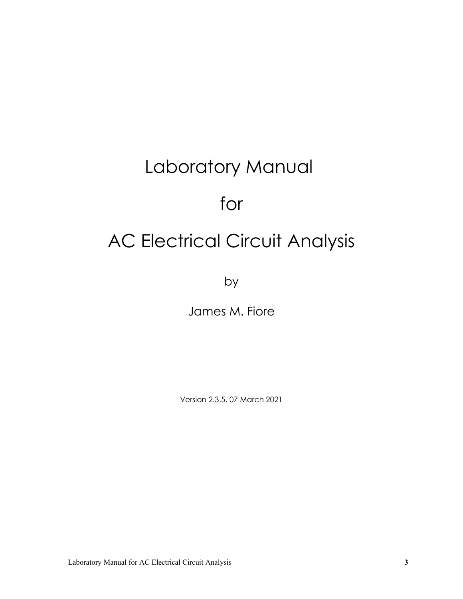# Laboratory Manual

# for

# AC Electrical Circuit Analysis

by

James M. Fiore

Version 2.3.5, 07 March 2021

Laboratory Manual for AC Electrical Circuit Analysis **3**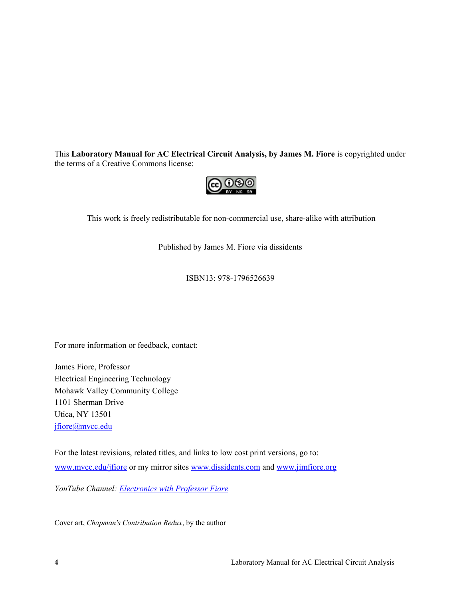This **Laboratory Manual for AC Electrical Circuit Analysis, by James M. Fiore** is copyrighted under the terms of a Creative Commons license:



This work is freely redistributable for non-commercial use, share-alike with attribution

Published by James M. Fiore via dissidents

ISBN13: 978-1796526639

For more information or feedback, contact:

James Fiore, Professor Electrical Engineering Technology Mohawk Valley Community College 1101 Sherman Drive Utica, NY 13501 [jfiore@mvcc.edu](mailto:jfiore@mvcc.edu)

For the latest revisions, related titles, and links to low cost print versions, go to: [www.mvcc.edu/jfiore](https://www.mvcc.edu/jfiore) or my mirror sites [www.dissidents.com](http://www.dissidents.com/) and [www.jimfiore.org](https://www.jimfiore.org/)

*YouTube Channel: [Electronics with Professor Fiore](https://www.youtube.com/ElectronicsWithProfessorFiore)*

Cover art, *Chapman's Contribution Redux*, by the author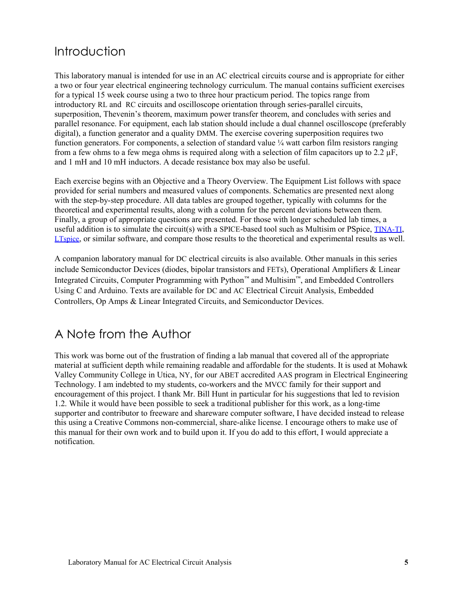#### Introduction

This laboratory manual is intended for use in an AC electrical circuits course and is appropriate for either a two or four year electrical engineering technology curriculum. The manual contains sufficient exercises for a typical 15 week course using a two to three hour practicum period. The topics range from introductory RL and RC circuits and oscilloscope orientation through series-parallel circuits, superposition, Thevenin's theorem, maximum power transfer theorem, and concludes with series and parallel resonance. For equipment, each lab station should include a dual channel oscilloscope (preferably digital), a function generator and a quality DMM. The exercise covering superposition requires two function generators. For components, a selection of standard value ¼ watt carbon film resistors ranging from a few ohms to a few mega ohms is required along with a selection of film capacitors up to 2.2  $\mu$ F, and 1 mH and 10 mH inductors. A decade resistance box may also be useful.

Each exercise begins with an Objective and a Theory Overview. The Equipment List follows with space provided for serial numbers and measured values of components. Schematics are presented next along with the step-by-step procedure. All data tables are grouped together, typically with columns for the theoretical and experimental results, along with a column for the percent deviations between them. Finally, a group of appropriate questions are presented. For those with longer scheduled lab times, a useful addition is to simulate the circuit(s) with a SPICE-based tool such as Multisim or PSpice, [TINA-TI](https://www.ti.com/tool/tina-ti), [LTspice](http://www.linear.com/solutions/LTspice), or similar software, and compare those results to the theoretical and experimental results as well.

A companion laboratory manual for DC electrical circuits is also available. Other manuals in this series include Semiconductor Devices (diodes, bipolar transistors and FETs), Operational Amplifiers & Linear Integrated Circuits, Computer Programming with Python™ and Multisim™, and Embedded Controllers Using C and Arduino. Texts are available for DC and AC Electrical Circuit Analysis, Embedded Controllers, Op Amps & Linear Integrated Circuits, and Semiconductor Devices.

#### A Note from the Author

This work was borne out of the frustration of finding a lab manual that covered all of the appropriate material at sufficient depth while remaining readable and affordable for the students. It is used at Mohawk Valley Community College in Utica, NY, for our ABET accredited AAS program in Electrical Engineering Technology. I am indebted to my students, co-workers and the MVCC family for their support and encouragement of this project. I thank Mr. Bill Hunt in particular for his suggestions that led to revision 1.2. While it would have been possible to seek a traditional publisher for this work, as a long-time supporter and contributor to freeware and shareware computer software, I have decided instead to release this using a Creative Commons non-commercial, share-alike license. I encourage others to make use of this manual for their own work and to build upon it. If you do add to this effort, I would appreciate a notification.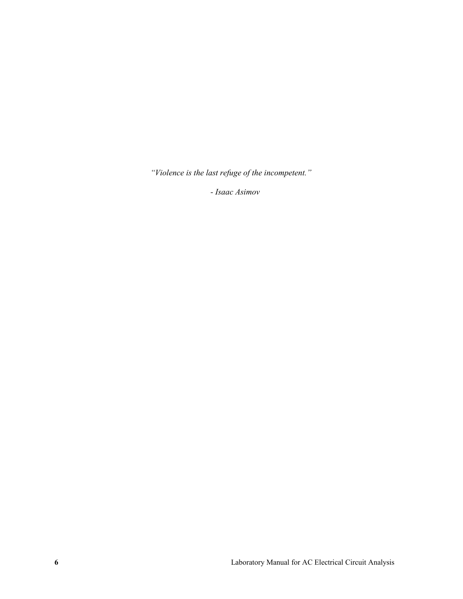*"Violence is the last refuge of the incompetent."*

*- Isaac Asimov*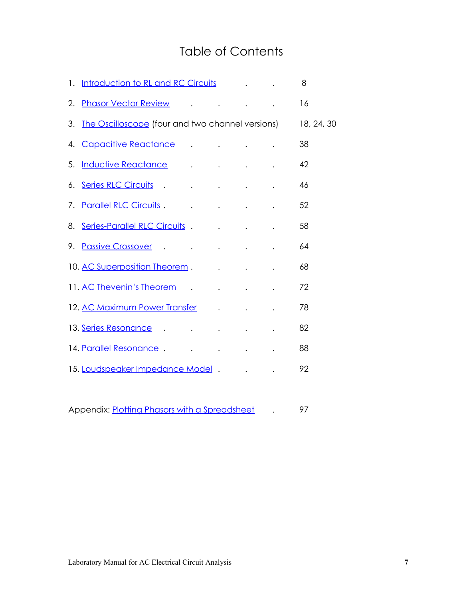#### Table of Contents

|    | 1. Introduction to RL and RC Circuits Theorem 2014                                                                                                                                                                             |                                                                                                                                                                                                                                           |  | 8  |
|----|--------------------------------------------------------------------------------------------------------------------------------------------------------------------------------------------------------------------------------|-------------------------------------------------------------------------------------------------------------------------------------------------------------------------------------------------------------------------------------------|--|----|
| 2. | <b>Phasor Vector Review Access Access Access</b> Access Access Access Access Access Access Access Access Access Access                                                                                                         |                                                                                                                                                                                                                                           |  | 16 |
| 3. | The Oscilloscope (four and two channel versions) 18, 24, 30                                                                                                                                                                    |                                                                                                                                                                                                                                           |  |    |
|    | 4. Capacitive Reactance Alexander Alexander Alexander Alexander Alexander Alexander Alexander Alexander Alexander A                                                                                                            |                                                                                                                                                                                                                                           |  | 38 |
| 5. | Inductive Reactance Allen Allen Allen Allen Allen Allen Allen Allen Allen Allen Allen Allen Allen Allen Allen                                                                                                                  |                                                                                                                                                                                                                                           |  | 42 |
| 6. |                                                                                                                                                                                                                                |                                                                                                                                                                                                                                           |  | 46 |
| 7. | <b>Parallel RLC Circuits.</b>                                                                                                                                                                                                  | $\mathcal{L}^{\mathcal{A}}$ . The contract of the contract of the contract of the contract of the contract of the contract of the contract of the contract of the contract of the contract of the contract of the contract of the contrac |  | 52 |
|    | 8. Series-Parallel RLC Circuits . The contract of the series of the series of the series of the series of the series of the series of the series of the series of the series of the series of the series of the series of the  |                                                                                                                                                                                                                                           |  | 58 |
| 9. | Passive Crossover Allen Allen Allen Allen Allen Allen Allen Allen Allen Allen Allen Allen Allen Allen Allen Al                                                                                                                 |                                                                                                                                                                                                                                           |  | 64 |
|    | 10. AC Superposition Theorem . The contract of the state of the state of the state of the state of the state of the state of the state of the state of the state of the state of the state of the state of the state of the st |                                                                                                                                                                                                                                           |  | 68 |
|    | 11. AC Thevenin's Theorem (1996) and the contract of the contract of the contract of the contract of the contract of the contract of the contract of the contract of the contract of the contract of the contract of the contr |                                                                                                                                                                                                                                           |  | 72 |
|    | 12. AC Maximum Power Transfer (a) and the contract of the contract of the contract of the contract of the contract of the contract of the contract of the contract of the contract of the contract of the contract of the cont |                                                                                                                                                                                                                                           |  | 78 |
|    | 13. Series Resonance de la contrata de la contrata de la contrata de la contrata de la contrata de la contrata                                                                                                                 |                                                                                                                                                                                                                                           |  | 82 |
|    | 14. Parallel Resonance . The contract of the set of the set of the set of the set of the set of the set of the                                                                                                                 |                                                                                                                                                                                                                                           |  | 88 |
|    | 15. Loudspeaker Impedance Model.                                                                                                                                                                                               |                                                                                                                                                                                                                                           |  | 92 |

Appendix: **Plotting Phasors with a Spreadsheet** . 97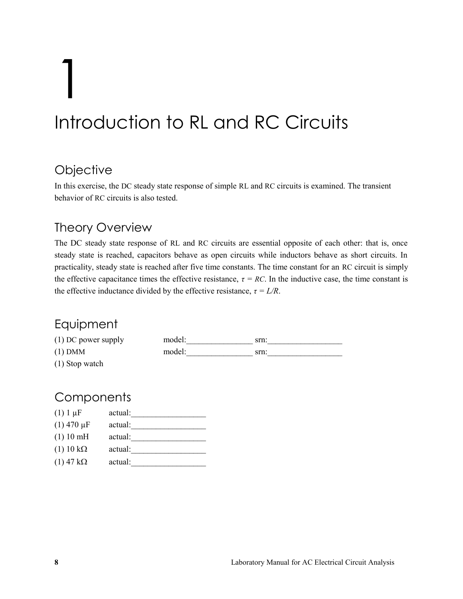# 1 Introduction to RL and RC Circuits

#### <span id="page-7-0"></span>**Objective**

In this exercise, the DC steady state response of simple RL and RC circuits is examined. The transient behavior of RC circuits is also tested.

#### Theory Overview

The DC steady state response of RL and RC circuits are essential opposite of each other: that is, once steady state is reached, capacitors behave as open circuits while inductors behave as short circuits. In practicality, steady state is reached after five time constants. The time constant for an RC circuit is simply the effective capacitance times the effective resistance,  $\tau = RC$ . In the inductive case, the time constant is the effective inductance divided by the effective resistance,  $\tau = L/R$ .

#### Equipment

| $(1)$ DC power supply | model: | srn: |  |
|-----------------------|--------|------|--|
| $(1)$ DMM             | model: | srn: |  |
| (1) Stop watch        |        |      |  |

#### **Components**

| $(1)$ 1 $\mu$ F     | actual: |
|---------------------|---------|
| $(1)$ 470 $\mu$ F   | actual: |
| (1) 10 mH           | actual: |
| $(1)$ 10 k $\Omega$ | actual: |
| $(1)$ 47 k $\Omega$ | actual: |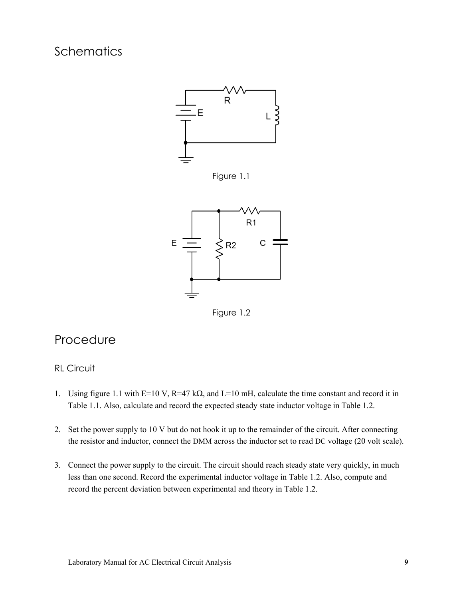#### **Schematics**



Figure 1.1



Figure 1.2

#### Procedure

#### RL Circuit

- 1. Using figure 1.1 with E=10 V, R=47 k $\Omega$ , and L=10 mH, calculate the time constant and record it in Table 1.1. Also, calculate and record the expected steady state inductor voltage in Table 1.2.
- 2. Set the power supply to 10 V but do not hook it up to the remainder of the circuit. After connecting the resistor and inductor, connect the DMM across the inductor set to read DC voltage (20 volt scale).
- 3. Connect the power supply to the circuit. The circuit should reach steady state very quickly, in much less than one second. Record the experimental inductor voltage in Table 1.2. Also, compute and record the percent deviation between experimental and theory in Table 1.2.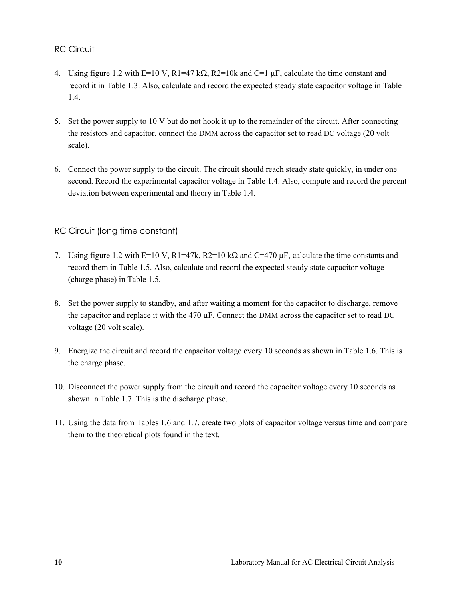RC Circuit

- 4. Using figure 1.2 with E=10 V, R1=47 k $\Omega$ , R2=10k and C=1  $\mu$ F, calculate the time constant and record it in Table 1.3. Also, calculate and record the expected steady state capacitor voltage in Table 1.4.
- 5. Set the power supply to 10 V but do not hook it up to the remainder of the circuit. After connecting the resistors and capacitor, connect the DMM across the capacitor set to read DC voltage (20 volt scale).
- 6. Connect the power supply to the circuit. The circuit should reach steady state quickly, in under one second. Record the experimental capacitor voltage in Table 1.4. Also, compute and record the percent deviation between experimental and theory in Table 1.4.

#### RC Circuit (long time constant)

- 7. Using figure 1.2 with E=10 V, R1=47k, R2=10 k $\Omega$  and C=470  $\mu$ F, calculate the time constants and record them in Table 1.5. Also, calculate and record the expected steady state capacitor voltage (charge phase) in Table 1.5.
- 8. Set the power supply to standby, and after waiting a moment for the capacitor to discharge, remove the capacitor and replace it with the 470 µF. Connect the DMM across the capacitor set to read DC voltage (20 volt scale).
- 9. Energize the circuit and record the capacitor voltage every 10 seconds as shown in Table 1.6. This is the charge phase.
- 10. Disconnect the power supply from the circuit and record the capacitor voltage every 10 seconds as shown in Table 1.7. This is the discharge phase.
- 11. Using the data from Tables 1.6 and 1.7, create two plots of capacitor voltage versus time and compare them to the theoretical plots found in the text.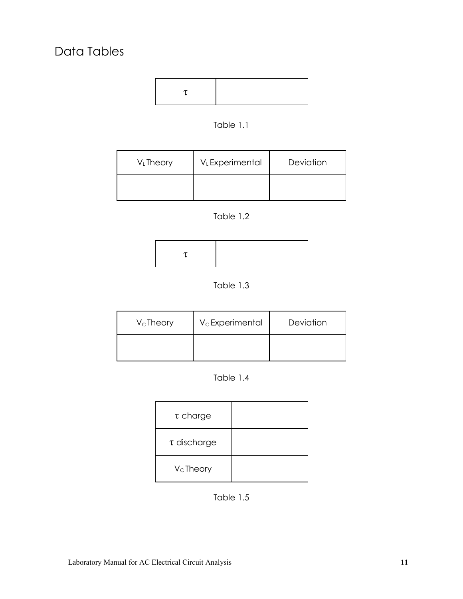

Table 1.1

| V <sub>L</sub> Theory | V <sub>L</sub> Experimental | Deviation |
|-----------------------|-----------------------------|-----------|
|                       |                             |           |





Table 1.3

| $V_c$ Theory | $V_c$ Experimental | Deviation |
|--------------|--------------------|-----------|
|              |                    |           |

| Table 1.4 |
|-----------|
|-----------|

| $\tau$ charge    |  |
|------------------|--|
| $\tau$ discharge |  |
| $V_C$ Theory     |  |

Table 1.5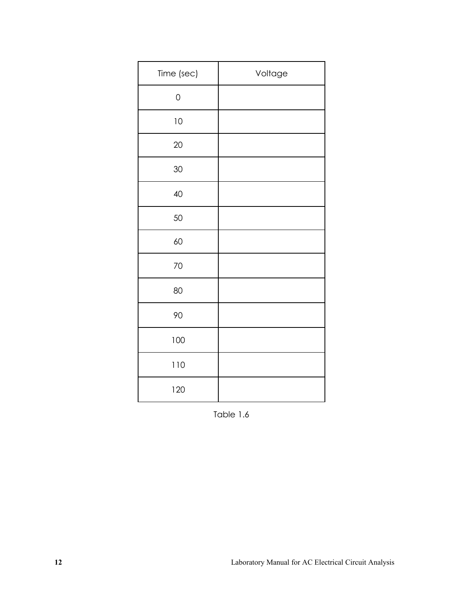| Time (sec)  | Voltage |
|-------------|---------|
| $\mathbf 0$ |         |
| $10$        |         |
| 20          |         |
| 30          |         |
| 40          |         |
| 50          |         |
| 60          |         |
| 70          |         |
| 80          |         |
| 90          |         |
| 100         |         |
| 110         |         |
| 120         |         |

Table 1.6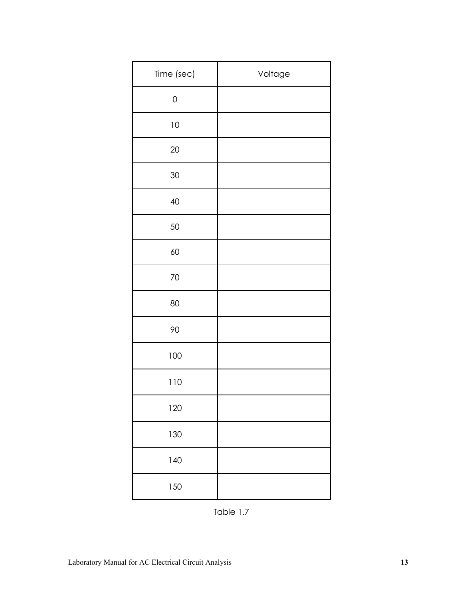| Time (sec)  | Voltage |
|-------------|---------|
| $\mathbf 0$ |         |
| 10          |         |
| $20\,$      |         |
| 30          |         |
| 40          |         |
| 50          |         |
| 60          |         |
| 70          |         |
| 80          |         |
| 90          |         |
| 100         |         |
| 110         |         |
| 120         |         |
| 130         |         |
| 140         |         |
| 150         |         |

Table 1.7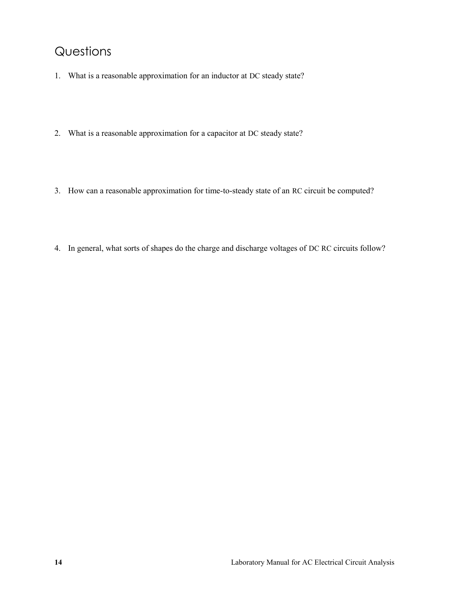#### Questions

- 1. What is a reasonable approximation for an inductor at DC steady state?
- 2. What is a reasonable approximation for a capacitor at DC steady state?
- 3. How can a reasonable approximation for time-to-steady state of an RC circuit be computed?
- 4. In general, what sorts of shapes do the charge and discharge voltages of DC RC circuits follow?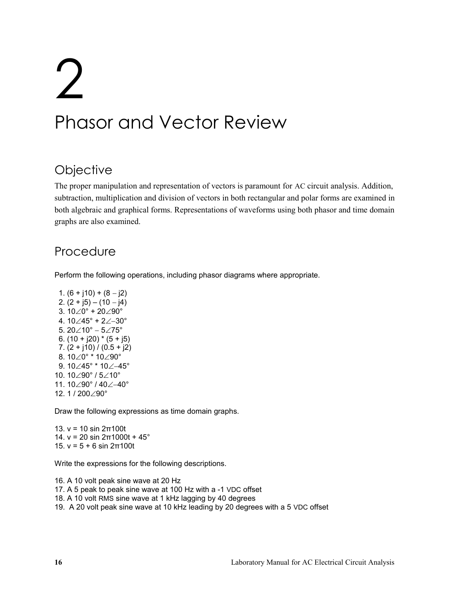# 2 Phasor and Vector Review

#### <span id="page-15-0"></span>**Objective**

The proper manipulation and representation of vectors is paramount for AC circuit analysis. Addition, subtraction, multiplication and division of vectors in both rectangular and polar forms are examined in both algebraic and graphical forms. Representations of waveforms using both phasor and time domain graphs are also examined.

#### Procedure

Perform the following operations, including phasor diagrams where appropriate.

1.  $(6 + j10) + (8 - j2)$ 2.  $(2 + j5) - (10 - j4)$ 3.  $10\angle 0^{\circ}$  +  $20\angle 90^{\circ}$ 4.  $10\angle 45^\circ + 2\angle -30^\circ$ 5.  $20\angle 10^{\circ} - 5\angle 75^{\circ}$ 6.  $(10 + j20) * (5 + j5)$ 7.  $(2 + j10) / (0.5 + j2)$ 8.  $10\angle 0^{\circ}$  \*  $10\angle 90^{\circ}$ 9.  $10\angle 45^\circ * 10\angle -45^\circ$ 10. 10∠90° / 5∠10° 11. 10∠90° / 40∠–40° 12. 1 / 200 $\angle$ 90°

Draw the following expressions as time domain graphs.

13. v = 10 sin 2π100t 14.  $v = 20 \sin 2π1000t + 45°$ 15. v = 5 + 6 sin 2π100t

Write the expressions for the following descriptions.

- 16. A 10 volt peak sine wave at 20 Hz
- 17. A 5 peak to peak sine wave at 100 Hz with a -1 VDC offset
- 18. A 10 volt RMS sine wave at 1 kHz lagging by 40 degrees
- 19. A 20 volt peak sine wave at 10 kHz leading by 20 degrees with a 5 VDC offset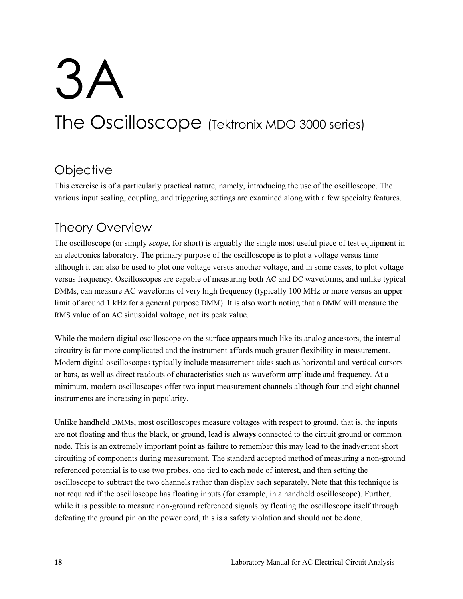# 3A The Oscilloscope (Tektronix MDO 3000 series)

#### <span id="page-17-0"></span>**Objective**

This exercise is of a particularly practical nature, namely, introducing the use of the oscilloscope. The various input scaling, coupling, and triggering settings are examined along with a few specialty features.

#### Theory Overview

The oscilloscope (or simply *scope*, for short) is arguably the single most useful piece of test equipment in an electronics laboratory. The primary purpose of the oscilloscope is to plot a voltage versus time although it can also be used to plot one voltage versus another voltage, and in some cases, to plot voltage versus frequency. Oscilloscopes are capable of measuring both AC and DC waveforms, and unlike typical DMMs, can measure AC waveforms of very high frequency (typically 100 MHz or more versus an upper limit of around 1 kHz for a general purpose DMM). It is also worth noting that a DMM will measure the RMS value of an AC sinusoidal voltage, not its peak value.

While the modern digital oscilloscope on the surface appears much like its analog ancestors, the internal circuitry is far more complicated and the instrument affords much greater flexibility in measurement. Modern digital oscilloscopes typically include measurement aides such as horizontal and vertical cursors or bars, as well as direct readouts of characteristics such as waveform amplitude and frequency. At a minimum, modern oscilloscopes offer two input measurement channels although four and eight channel instruments are increasing in popularity.

Unlike handheld DMMs, most oscilloscopes measure voltages with respect to ground, that is, the inputs are not floating and thus the black, or ground, lead is **always** connected to the circuit ground or common node. This is an extremely important point as failure to remember this may lead to the inadvertent short circuiting of components during measurement. The standard accepted method of measuring a non-ground referenced potential is to use two probes, one tied to each node of interest, and then setting the oscilloscope to subtract the two channels rather than display each separately. Note that this technique is not required if the oscilloscope has floating inputs (for example, in a handheld oscilloscope). Further, while it is possible to measure non-ground referenced signals by floating the oscilloscope itself through defeating the ground pin on the power cord, this is a safety violation and should not be done.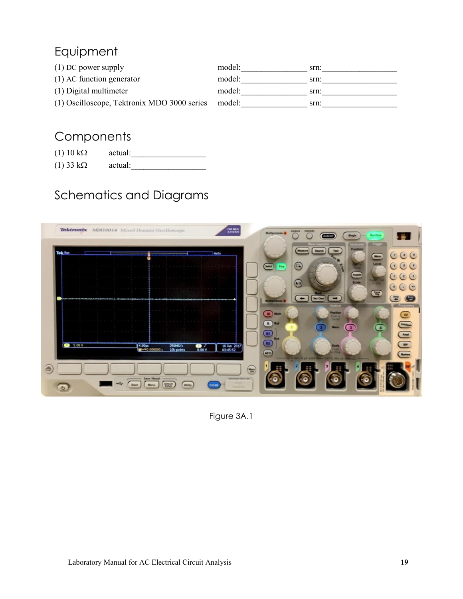### Equipment

| $(1)$ DC power supply                       | model: | srn: |
|---------------------------------------------|--------|------|
| $(1)$ AC function generator                 | model: | srn: |
| (1) Digital multimeter                      | model: | srn: |
| (1) Oscilloscope, Tektronix MDO 3000 series | model: | srn: |

### **Components**

| $(1)$ 10 k $\Omega$ | actual: |
|---------------------|---------|
| $(1)$ 33 k $\Omega$ | actual: |

## Schematics and Diagrams



Figure 3A.1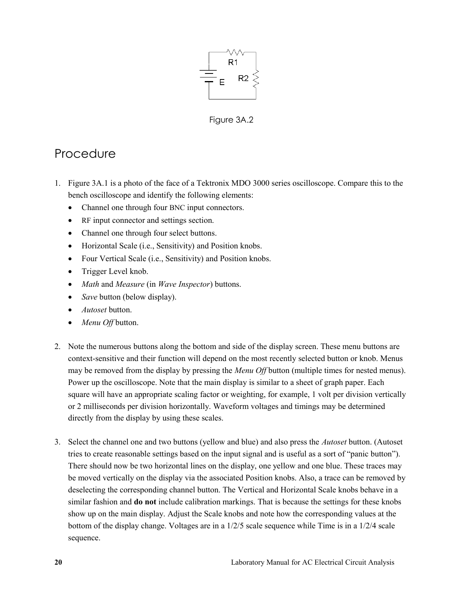

Figure 3A.2

#### **Procedure**

- 1. Figure 3A.1 is a photo of the face of a Tektronix MDO 3000 series oscilloscope. Compare this to the bench oscilloscope and identify the following elements:
	- Channel one through four BNC input connectors.
	- RF input connector and settings section.
	- Channel one through four select buttons.
	- Horizontal Scale (i.e., Sensitivity) and Position knobs.
	- Four Vertical Scale (i.e., Sensitivity) and Position knobs.
	- Trigger Level knob.
	- *Math* and *Measure* (in *Wave Inspector*) buttons.
	- *Save* button (below display).
	- *Autoset* button.
	- *Menu Off* button.
- 2. Note the numerous buttons along the bottom and side of the display screen. These menu buttons are context-sensitive and their function will depend on the most recently selected button or knob. Menus may be removed from the display by pressing the *Menu Off* button (multiple times for nested menus). Power up the oscilloscope. Note that the main display is similar to a sheet of graph paper. Each square will have an appropriate scaling factor or weighting, for example, 1 volt per division vertically or 2 milliseconds per division horizontally. Waveform voltages and timings may be determined directly from the display by using these scales.
- 3. Select the channel one and two buttons (yellow and blue) and also press the *Autoset* button. (Autoset tries to create reasonable settings based on the input signal and is useful as a sort of "panic button"). There should now be two horizontal lines on the display, one yellow and one blue. These traces may be moved vertically on the display via the associated Position knobs. Also, a trace can be removed by deselecting the corresponding channel button. The Vertical and Horizontal Scale knobs behave in a similar fashion and **do not** include calibration markings. That is because the settings for these knobs show up on the main display. Adjust the Scale knobs and note how the corresponding values at the bottom of the display change. Voltages are in a 1/2/5 scale sequence while Time is in a 1/2/4 scale sequence.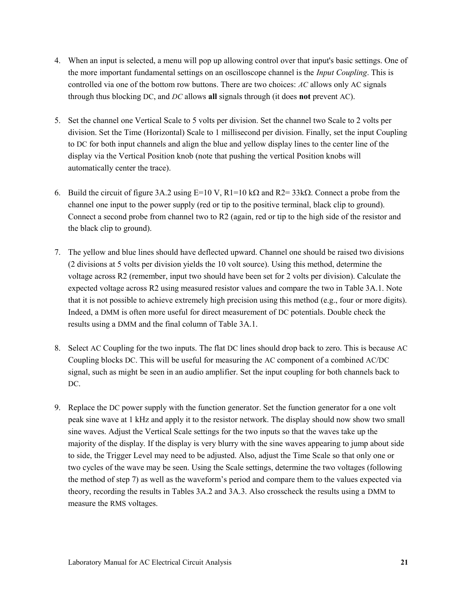- 4. When an input is selected, a menu will pop up allowing control over that input's basic settings. One of the more important fundamental settings on an oscilloscope channel is the *Input Coupling*. This is controlled via one of the bottom row buttons. There are two choices: *AC* allows only AC signals through thus blocking DC, and *DC* allows **all** signals through (it does **not** prevent AC).
- 5. Set the channel one Vertical Scale to 5 volts per division. Set the channel two Scale to 2 volts per division. Set the Time (Horizontal) Scale to 1 millisecond per division. Finally, set the input Coupling to DC for both input channels and align the blue and yellow display lines to the center line of the display via the Vertical Position knob (note that pushing the vertical Position knobs will automatically center the trace).
- 6. Build the circuit of figure 3A.2 using  $E=10 \text{ V}$ ,  $R1=10 \text{ k}\Omega$  and  $R2=33 \text{ k}\Omega$ . Connect a probe from the channel one input to the power supply (red or tip to the positive terminal, black clip to ground). Connect a second probe from channel two to R2 (again, red or tip to the high side of the resistor and the black clip to ground).
- 7. The yellow and blue lines should have deflected upward. Channel one should be raised two divisions (2 divisions at 5 volts per division yields the 10 volt source). Using this method, determine the voltage across R2 (remember, input two should have been set for 2 volts per division). Calculate the expected voltage across R2 using measured resistor values and compare the two in Table 3A.1. Note that it is not possible to achieve extremely high precision using this method (e.g., four or more digits). Indeed, a DMM is often more useful for direct measurement of DC potentials. Double check the results using a DMM and the final column of Table 3A.1.
- 8. Select AC Coupling for the two inputs. The flat DC lines should drop back to zero. This is because AC Coupling blocks DC. This will be useful for measuring the AC component of a combined AC/DC signal, such as might be seen in an audio amplifier. Set the input coupling for both channels back to DC.
- 9. Replace the DC power supply with the function generator. Set the function generator for a one volt peak sine wave at 1 kHz and apply it to the resistor network. The display should now show two small sine waves. Adjust the Vertical Scale settings for the two inputs so that the waves take up the majority of the display. If the display is very blurry with the sine waves appearing to jump about side to side, the Trigger Level may need to be adjusted. Also, adjust the Time Scale so that only one or two cycles of the wave may be seen. Using the Scale settings, determine the two voltages (following the method of step 7) as well as the waveform's period and compare them to the values expected via theory, recording the results in Tables 3A.2 and 3A.3. Also crosscheck the results using a DMM to measure the RMS voltages.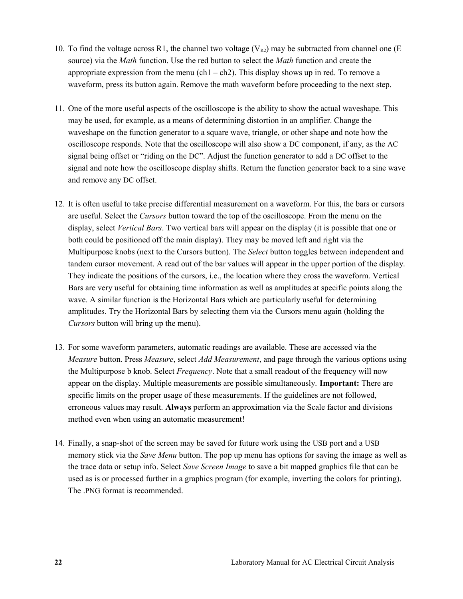- 10. To find the voltage across R1, the channel two voltage  $(V_{R2})$  may be subtracted from channel one (E source) via the *Math* function. Use the red button to select the *Math* function and create the appropriate expression from the menu (ch1 – ch2). This display shows up in red. To remove a waveform, press its button again. Remove the math waveform before proceeding to the next step.
- 11. One of the more useful aspects of the oscilloscope is the ability to show the actual waveshape. This may be used, for example, as a means of determining distortion in an amplifier. Change the waveshape on the function generator to a square wave, triangle, or other shape and note how the oscilloscope responds. Note that the oscilloscope will also show a DC component, if any, as the AC signal being offset or "riding on the DC". Adjust the function generator to add a DC offset to the signal and note how the oscilloscope display shifts. Return the function generator back to a sine wave and remove any DC offset.
- 12. It is often useful to take precise differential measurement on a waveform. For this, the bars or cursors are useful. Select the *Cursors* button toward the top of the oscilloscope. From the menu on the display, select *Vertical Bars*. Two vertical bars will appear on the display (it is possible that one or both could be positioned off the main display). They may be moved left and right via the Multipurpose knobs (next to the Cursors button). The *Select* button toggles between independent and tandem cursor movement. A read out of the bar values will appear in the upper portion of the display. They indicate the positions of the cursors, i.e., the location where they cross the waveform. Vertical Bars are very useful for obtaining time information as well as amplitudes at specific points along the wave. A similar function is the Horizontal Bars which are particularly useful for determining amplitudes. Try the Horizontal Bars by selecting them via the Cursors menu again (holding the *Cursors* button will bring up the menu).
- 13. For some waveform parameters, automatic readings are available. These are accessed via the *Measure* button. Press *Measure*, select *Add Measurement*, and page through the various options using the Multipurpose b knob. Select *Frequency*. Note that a small readout of the frequency will now appear on the display. Multiple measurements are possible simultaneously. **Important:** There are specific limits on the proper usage of these measurements. If the guidelines are not followed, erroneous values may result. **Always** perform an approximation via the Scale factor and divisions method even when using an automatic measurement!
- 14. Finally, a snap-shot of the screen may be saved for future work using the USB port and a USB memory stick via the *Save Menu* button. The pop up menu has options for saving the image as well as the trace data or setup info. Select *Save Screen Image* to save a bit mapped graphics file that can be used as is or processed further in a graphics program (for example, inverting the colors for printing). The .PNG format is recommended.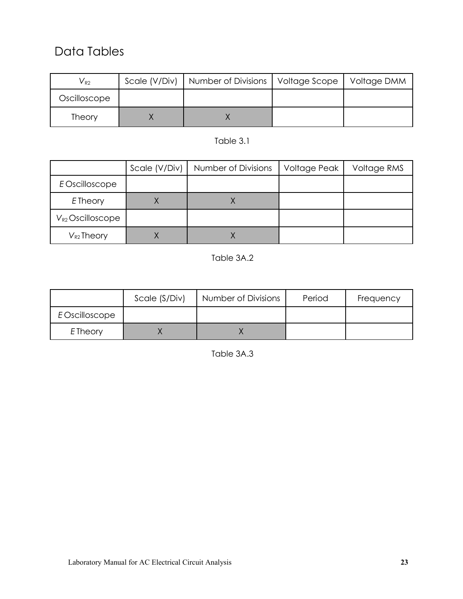#### Data Tables

| $V_{R2}$     | Scale (V/Div)   Number of Divisions   Voltage Scope   Voltage DMM |  |
|--------------|-------------------------------------------------------------------|--|
| Oscilloscope |                                                                   |  |
| Theory       |                                                                   |  |

#### Table 3.1

|                       | Scale (V/Div) | Number of Divisions | Voltage Peak | Voltage RMS |
|-----------------------|---------------|---------------------|--------------|-------------|
| E Oscilloscope        |               |                     |              |             |
| E Theory              |               |                     |              |             |
| $V_{R2}$ Oscilloscope |               |                     |              |             |
| $V_{R2}$ Theory       |               |                     |              |             |

#### Table 3A.2

|                 | Scale (S/Div) | Number of Divisions | Period | Frequency |
|-----------------|---------------|---------------------|--------|-----------|
| E Oscilloscope  |               |                     |        |           |
| <b>E</b> Theory |               |                     |        |           |

Table 3A.3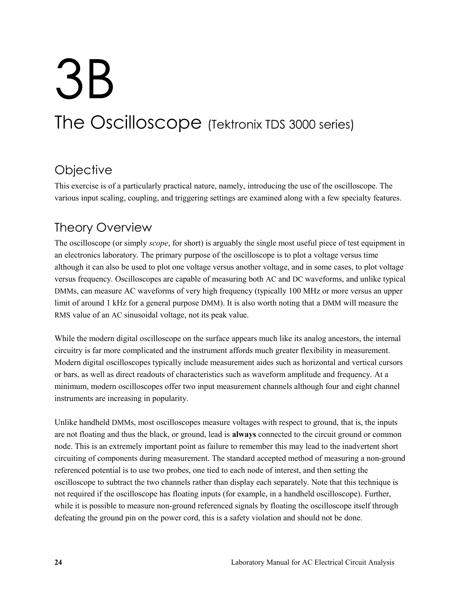# 3B The Oscilloscope (Tektronix TDS 3000 series)

#### **Objective**

This exercise is of a particularly practical nature, namely, introducing the use of the oscilloscope. The various input scaling, coupling, and triggering settings are examined along with a few specialty features.

#### Theory Overview

The oscilloscope (or simply *scope*, for short) is arguably the single most useful piece of test equipment in an electronics laboratory. The primary purpose of the oscilloscope is to plot a voltage versus time although it can also be used to plot one voltage versus another voltage, and in some cases, to plot voltage versus frequency. Oscilloscopes are capable of measuring both AC and DC waveforms, and unlike typical DMMs, can measure AC waveforms of very high frequency (typically 100 MHz or more versus an upper limit of around 1 kHz for a general purpose DMM). It is also worth noting that a DMM will measure the RMS value of an AC sinusoidal voltage, not its peak value.

While the modern digital oscilloscope on the surface appears much like its analog ancestors, the internal circuitry is far more complicated and the instrument affords much greater flexibility in measurement. Modern digital oscilloscopes typically include measurement aides such as horizontal and vertical cursors or bars, as well as direct readouts of characteristics such as waveform amplitude and frequency. At a minimum, modern oscilloscopes offer two input measurement channels although four and eight channel instruments are increasing in popularity.

Unlike handheld DMMs, most oscilloscopes measure voltages with respect to ground, that is, the inputs are not floating and thus the black, or ground, lead is **always** connected to the circuit ground or common node. This is an extremely important point as failure to remember this may lead to the inadvertent short circuiting of components during measurement. The standard accepted method of measuring a non-ground referenced potential is to use two probes, one tied to each node of interest, and then setting the oscilloscope to subtract the two channels rather than display each separately. Note that this technique is not required if the oscilloscope has floating inputs (for example, in a handheld oscilloscope). Further, while it is possible to measure non-ground referenced signals by floating the oscilloscope itself through defeating the ground pin on the power cord, this is a safety violation and should not be done.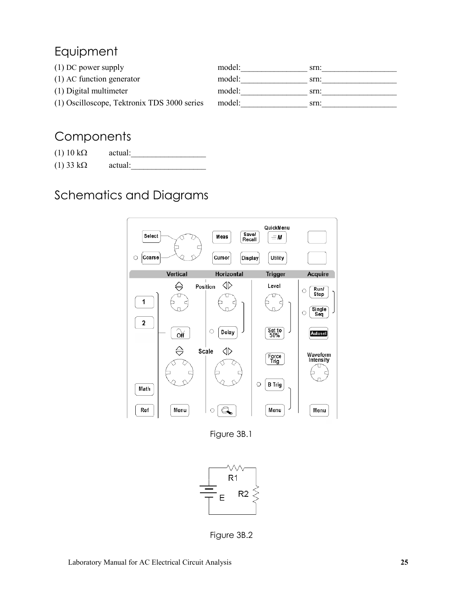### Equipment

| $(1)$ DC power supply                       | model: | srn: |
|---------------------------------------------|--------|------|
| $(1)$ AC function generator                 | model: | srn: |
| (1) Digital multimeter                      | model: | srn: |
| (1) Oscilloscope, Tektronix TDS 3000 series | model: | srn: |

#### **Components**

| $(1)$ 10 k $\Omega$ | actual: |
|---------------------|---------|
| $(1)$ 33 k $\Omega$ | actual: |

## Schematics and Diagrams



Figure 3B.1



Figure 3B.2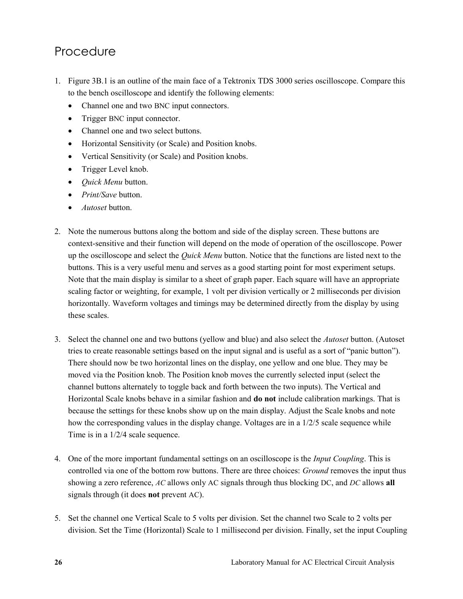#### Procedure

- 1. Figure 3B.1 is an outline of the main face of a Tektronix TDS 3000 series oscilloscope. Compare this to the bench oscilloscope and identify the following elements:
	- Channel one and two BNC input connectors.
	- Trigger BNC input connector.
	- Channel one and two select buttons.
	- Horizontal Sensitivity (or Scale) and Position knobs.
	- Vertical Sensitivity (or Scale) and Position knobs.
	- Trigger Level knob.
	- *Quick Menu* button.
	- *Print/Save* button.
	- *Autoset* button.
- 2. Note the numerous buttons along the bottom and side of the display screen. These buttons are context-sensitive and their function will depend on the mode of operation of the oscilloscope. Power up the oscilloscope and select the *Quick Menu* button. Notice that the functions are listed next to the buttons. This is a very useful menu and serves as a good starting point for most experiment setups. Note that the main display is similar to a sheet of graph paper. Each square will have an appropriate scaling factor or weighting, for example, 1 volt per division vertically or 2 milliseconds per division horizontally. Waveform voltages and timings may be determined directly from the display by using these scales.
- 3. Select the channel one and two buttons (yellow and blue) and also select the *Autoset* button. (Autoset tries to create reasonable settings based on the input signal and is useful as a sort of "panic button"). There should now be two horizontal lines on the display, one yellow and one blue. They may be moved via the Position knob. The Position knob moves the currently selected input (select the channel buttons alternately to toggle back and forth between the two inputs). The Vertical and Horizontal Scale knobs behave in a similar fashion and **do not** include calibration markings. That is because the settings for these knobs show up on the main display. Adjust the Scale knobs and note how the corresponding values in the display change. Voltages are in a 1/2/5 scale sequence while Time is in a 1/2/4 scale sequence.
- 4. One of the more important fundamental settings on an oscilloscope is the *Input Coupling*. This is controlled via one of the bottom row buttons. There are three choices: *Ground* removes the input thus showing a zero reference, *AC* allows only AC signals through thus blocking DC, and *DC* allows **all** signals through (it does **not** prevent AC).
- 5. Set the channel one Vertical Scale to 5 volts per division. Set the channel two Scale to 2 volts per division. Set the Time (Horizontal) Scale to 1 millisecond per division. Finally, set the input Coupling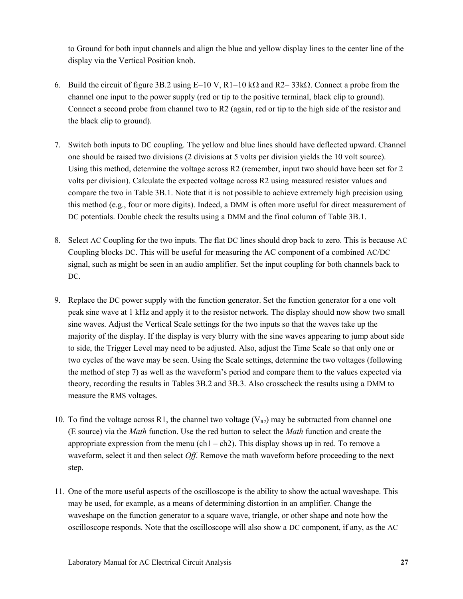to Ground for both input channels and align the blue and yellow display lines to the center line of the display via the Vertical Position knob.

- 6. Build the circuit of figure 3B.2 using  $E=10 \text{ V}$ ,  $R1=10 \text{ k}\Omega$  and  $R2=33 \text{k}\Omega$ . Connect a probe from the channel one input to the power supply (red or tip to the positive terminal, black clip to ground). Connect a second probe from channel two to R2 (again, red or tip to the high side of the resistor and the black clip to ground).
- 7. Switch both inputs to DC coupling. The yellow and blue lines should have deflected upward. Channel one should be raised two divisions (2 divisions at 5 volts per division yields the 10 volt source). Using this method, determine the voltage across R2 (remember, input two should have been set for 2 volts per division). Calculate the expected voltage across R2 using measured resistor values and compare the two in Table 3B.1. Note that it is not possible to achieve extremely high precision using this method (e.g., four or more digits). Indeed, a DMM is often more useful for direct measurement of DC potentials. Double check the results using a DMM and the final column of Table 3B.1.
- 8. Select AC Coupling for the two inputs. The flat DC lines should drop back to zero. This is because AC Coupling blocks DC. This will be useful for measuring the AC component of a combined AC/DC signal, such as might be seen in an audio amplifier. Set the input coupling for both channels back to DC.
- 9. Replace the DC power supply with the function generator. Set the function generator for a one volt peak sine wave at 1 kHz and apply it to the resistor network. The display should now show two small sine waves. Adjust the Vertical Scale settings for the two inputs so that the waves take up the majority of the display. If the display is very blurry with the sine waves appearing to jump about side to side, the Trigger Level may need to be adjusted. Also, adjust the Time Scale so that only one or two cycles of the wave may be seen. Using the Scale settings, determine the two voltages (following the method of step 7) as well as the waveform's period and compare them to the values expected via theory, recording the results in Tables 3B.2 and 3B.3. Also crosscheck the results using a DMM to measure the RMS voltages.
- 10. To find the voltage across R1, the channel two voltage  $(V_{R2})$  may be subtracted from channel one (E source) via the *Math* function. Use the red button to select the *Math* function and create the appropriate expression from the menu (ch1 – ch2). This display shows up in red. To remove a waveform, select it and then select *Off*. Remove the math waveform before proceeding to the next step.
- 11. One of the more useful aspects of the oscilloscope is the ability to show the actual waveshape. This may be used, for example, as a means of determining distortion in an amplifier. Change the waveshape on the function generator to a square wave, triangle, or other shape and note how the oscilloscope responds. Note that the oscilloscope will also show a DC component, if any, as the AC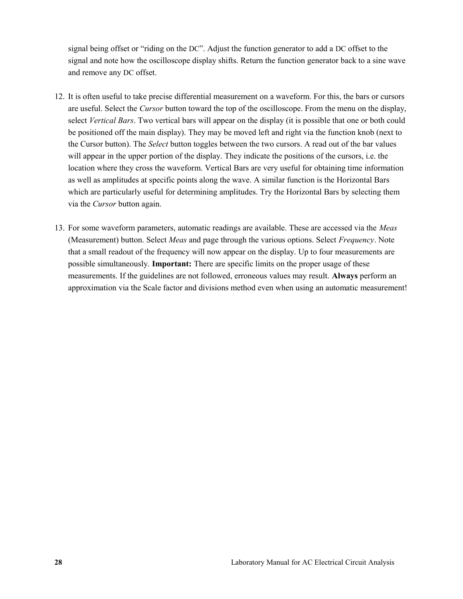signal being offset or "riding on the DC". Adjust the function generator to add a DC offset to the signal and note how the oscilloscope display shifts. Return the function generator back to a sine wave and remove any DC offset.

- 12. It is often useful to take precise differential measurement on a waveform. For this, the bars or cursors are useful. Select the *Cursor* button toward the top of the oscilloscope. From the menu on the display, select *Vertical Bars*. Two vertical bars will appear on the display (it is possible that one or both could be positioned off the main display). They may be moved left and right via the function knob (next to the Cursor button). The *Select* button toggles between the two cursors. A read out of the bar values will appear in the upper portion of the display. They indicate the positions of the cursors, i.e. the location where they cross the waveform. Vertical Bars are very useful for obtaining time information as well as amplitudes at specific points along the wave. A similar function is the Horizontal Bars which are particularly useful for determining amplitudes. Try the Horizontal Bars by selecting them via the *Cursor* button again.
- 13. For some waveform parameters, automatic readings are available. These are accessed via the *Meas* (Measurement) button. Select *Meas* and page through the various options. Select *Frequency*. Note that a small readout of the frequency will now appear on the display. Up to four measurements are possible simultaneously. **Important:** There are specific limits on the proper usage of these measurements. If the guidelines are not followed, erroneous values may result. **Always** perform an approximation via the Scale factor and divisions method even when using an automatic measurement!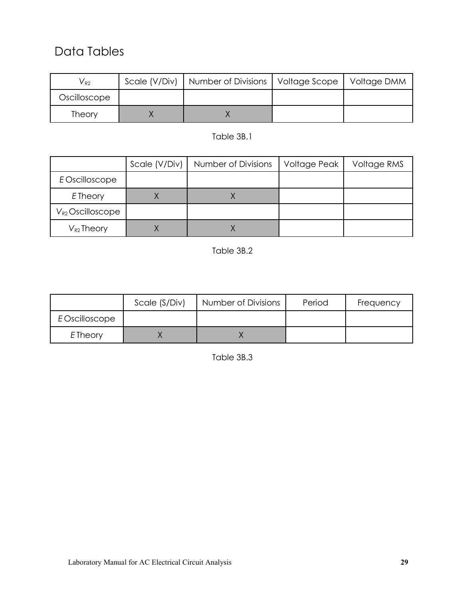#### Data Tables

| $V_{R2}$     | Scale (V/Div)   Number of Divisions   Voltage Scope   Voltage DMM |  |
|--------------|-------------------------------------------------------------------|--|
| Oscilloscope |                                                                   |  |
| Theory       |                                                                   |  |

#### Table 3B.1

|                       | Scale (V/Div) | Number of Divisions | Voltage Peak | Voltage RMS |
|-----------------------|---------------|---------------------|--------------|-------------|
| E Oscilloscope        |               |                     |              |             |
| E Theory              |               |                     |              |             |
| $V_{R2}$ Oscilloscope |               |                     |              |             |
| $V_{R2}$ Theory       |               |                     |              |             |

#### Table 3B.2

|                 | Scale (S/Div) | Number of Divisions | Period | Frequency |
|-----------------|---------------|---------------------|--------|-----------|
| E Oscilloscope  |               |                     |        |           |
| <b>E</b> Theory |               |                     |        |           |

Table 3B.3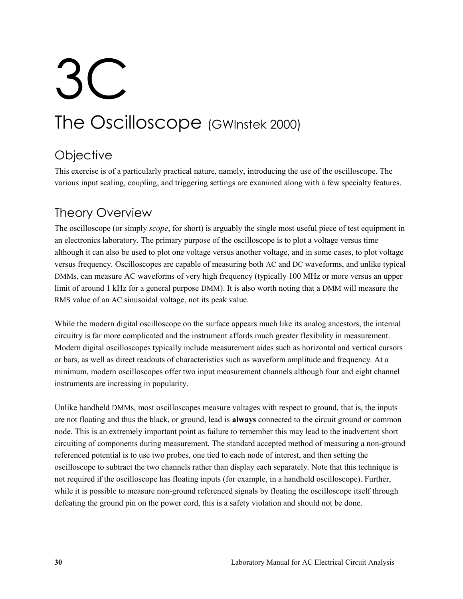# 3C The Oscilloscope (GWInstek 2000)

## **Objective**

This exercise is of a particularly practical nature, namely, introducing the use of the oscilloscope. The various input scaling, coupling, and triggering settings are examined along with a few specialty features.

#### Theory Overview

The oscilloscope (or simply *scope*, for short) is arguably the single most useful piece of test equipment in an electronics laboratory. The primary purpose of the oscilloscope is to plot a voltage versus time although it can also be used to plot one voltage versus another voltage, and in some cases, to plot voltage versus frequency. Oscilloscopes are capable of measuring both AC and DC waveforms, and unlike typical DMMs, can measure AC waveforms of very high frequency (typically 100 MHz or more versus an upper limit of around 1 kHz for a general purpose DMM). It is also worth noting that a DMM will measure the RMS value of an AC sinusoidal voltage, not its peak value.

While the modern digital oscilloscope on the surface appears much like its analog ancestors, the internal circuitry is far more complicated and the instrument affords much greater flexibility in measurement. Modern digital oscilloscopes typically include measurement aides such as horizontal and vertical cursors or bars, as well as direct readouts of characteristics such as waveform amplitude and frequency. At a minimum, modern oscilloscopes offer two input measurement channels although four and eight channel instruments are increasing in popularity.

Unlike handheld DMMs, most oscilloscopes measure voltages with respect to ground, that is, the inputs are not floating and thus the black, or ground, lead is **always** connected to the circuit ground or common node. This is an extremely important point as failure to remember this may lead to the inadvertent short circuiting of components during measurement. The standard accepted method of measuring a non-ground referenced potential is to use two probes, one tied to each node of interest, and then setting the oscilloscope to subtract the two channels rather than display each separately. Note that this technique is not required if the oscilloscope has floating inputs (for example, in a handheld oscilloscope). Further, while it is possible to measure non-ground referenced signals by floating the oscilloscope itself through defeating the ground pin on the power cord, this is a safety violation and should not be done.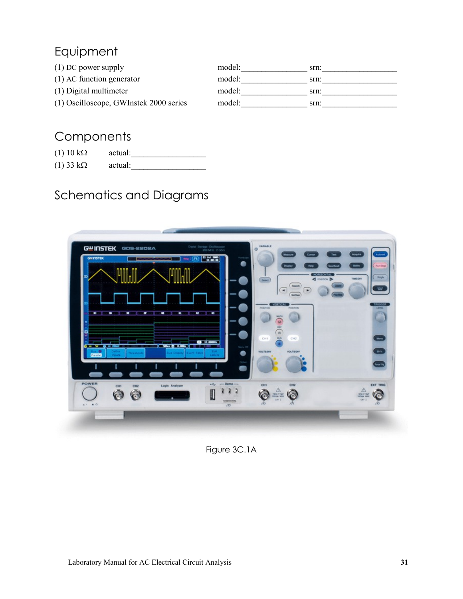### Equipment

| $(1)$ DC power supply                  | model: | srn: |
|----------------------------------------|--------|------|
| $(1)$ AC function generator            | model: | srn: |
| (1) Digital multimeter                 | model: | srn: |
| (1) Oscilloscope, GWInstek 2000 series | model: | srn: |

### **Components**

| $(1)$ 10 k $\Omega$ | actual: |  |
|---------------------|---------|--|
| $(1)$ 33 k $\Omega$ | actual: |  |

## Schematics and Diagrams



Figure 3C.1A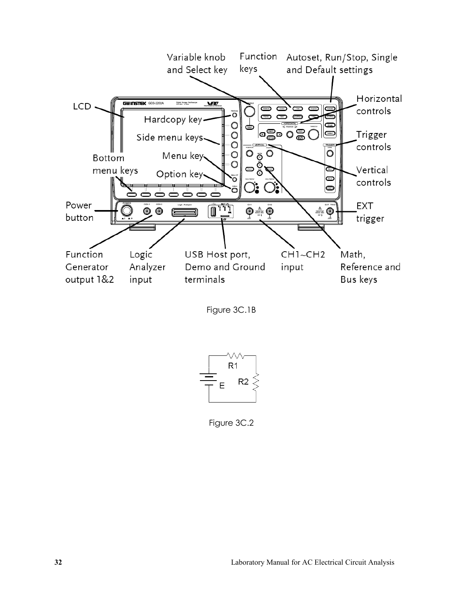





Figure 3C.2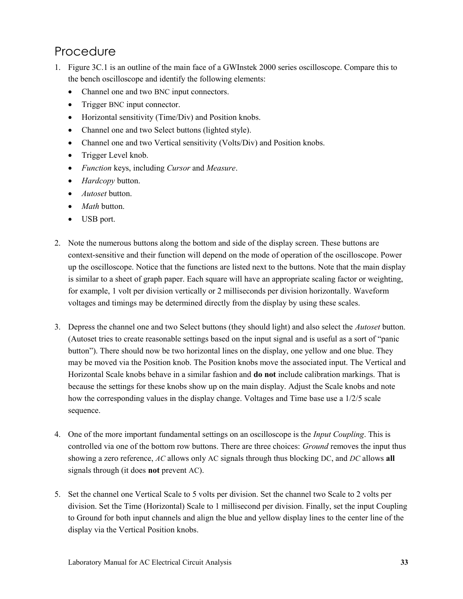#### Procedure

- 1. Figure 3C.1 is an outline of the main face of a GWInstek 2000 series oscilloscope. Compare this to the bench oscilloscope and identify the following elements:
	- Channel one and two BNC input connectors.
	- Trigger BNC input connector.
	- Horizontal sensitivity (Time/Div) and Position knobs.
	- Channel one and two Select buttons (lighted style).
	- Channel one and two Vertical sensitivity (Volts/Div) and Position knobs.
	- Trigger Level knob.
	- *Function* keys, including *Cursor* and *Measure*.
	- *Hardcopy* button.
	- *Autoset* button.
	- *Math* button.
	- USB port.
- 2. Note the numerous buttons along the bottom and side of the display screen. These buttons are context-sensitive and their function will depend on the mode of operation of the oscilloscope. Power up the oscilloscope. Notice that the functions are listed next to the buttons. Note that the main display is similar to a sheet of graph paper. Each square will have an appropriate scaling factor or weighting, for example, 1 volt per division vertically or 2 milliseconds per division horizontally. Waveform voltages and timings may be determined directly from the display by using these scales.
- 3. Depress the channel one and two Select buttons (they should light) and also select the *Autoset* button. (Autoset tries to create reasonable settings based on the input signal and is useful as a sort of "panic button"). There should now be two horizontal lines on the display, one yellow and one blue. They may be moved via the Position knob. The Position knobs move the associated input. The Vertical and Horizontal Scale knobs behave in a similar fashion and **do not** include calibration markings. That is because the settings for these knobs show up on the main display. Adjust the Scale knobs and note how the corresponding values in the display change. Voltages and Time base use a 1/2/5 scale sequence.
- 4. One of the more important fundamental settings on an oscilloscope is the *Input Coupling*. This is controlled via one of the bottom row buttons. There are three choices: *Ground* removes the input thus showing a zero reference, *AC* allows only AC signals through thus blocking DC, and *DC* allows **all** signals through (it does **not** prevent AC).
- 5. Set the channel one Vertical Scale to 5 volts per division. Set the channel two Scale to 2 volts per division. Set the Time (Horizontal) Scale to 1 millisecond per division. Finally, set the input Coupling to Ground for both input channels and align the blue and yellow display lines to the center line of the display via the Vertical Position knobs.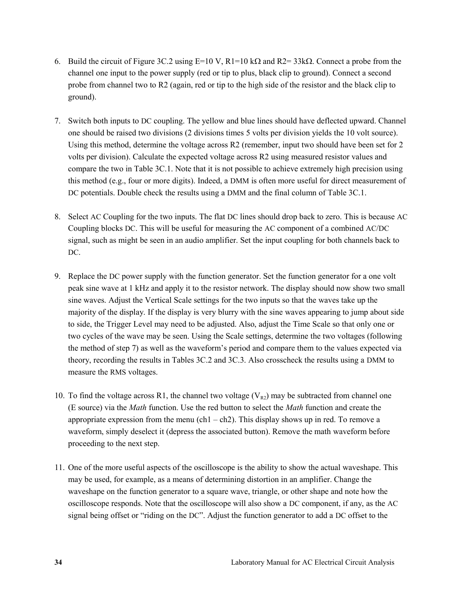- 6. Build the circuit of Figure 3C.2 using E=10 V, R1=10 k $\Omega$  and R2= 33k $\Omega$ . Connect a probe from the channel one input to the power supply (red or tip to plus, black clip to ground). Connect a second probe from channel two to R2 (again, red or tip to the high side of the resistor and the black clip to ground).
- 7. Switch both inputs to DC coupling. The yellow and blue lines should have deflected upward. Channel one should be raised two divisions (2 divisions times 5 volts per division yields the 10 volt source). Using this method, determine the voltage across R2 (remember, input two should have been set for 2 volts per division). Calculate the expected voltage across R2 using measured resistor values and compare the two in Table 3C.1. Note that it is not possible to achieve extremely high precision using this method (e.g., four or more digits). Indeed, a DMM is often more useful for direct measurement of DC potentials. Double check the results using a DMM and the final column of Table 3C.1.
- 8. Select AC Coupling for the two inputs. The flat DC lines should drop back to zero. This is because AC Coupling blocks DC. This will be useful for measuring the AC component of a combined AC/DC signal, such as might be seen in an audio amplifier. Set the input coupling for both channels back to DC.
- 9. Replace the DC power supply with the function generator. Set the function generator for a one volt peak sine wave at 1 kHz and apply it to the resistor network. The display should now show two small sine waves. Adjust the Vertical Scale settings for the two inputs so that the waves take up the majority of the display. If the display is very blurry with the sine waves appearing to jump about side to side, the Trigger Level may need to be adjusted. Also, adjust the Time Scale so that only one or two cycles of the wave may be seen. Using the Scale settings, determine the two voltages (following the method of step 7) as well as the waveform's period and compare them to the values expected via theory, recording the results in Tables 3C.2 and 3C.3. Also crosscheck the results using a DMM to measure the RMS voltages.
- 10. To find the voltage across R1, the channel two voltage  $(V_{R2})$  may be subtracted from channel one (E source) via the *Math* function. Use the red button to select the *Math* function and create the appropriate expression from the menu (ch1 – ch2). This display shows up in red. To remove a waveform, simply deselect it (depress the associated button). Remove the math waveform before proceeding to the next step.
- 11. One of the more useful aspects of the oscilloscope is the ability to show the actual waveshape. This may be used, for example, as a means of determining distortion in an amplifier. Change the waveshape on the function generator to a square wave, triangle, or other shape and note how the oscilloscope responds. Note that the oscilloscope will also show a DC component, if any, as the AC signal being offset or "riding on the DC". Adjust the function generator to add a DC offset to the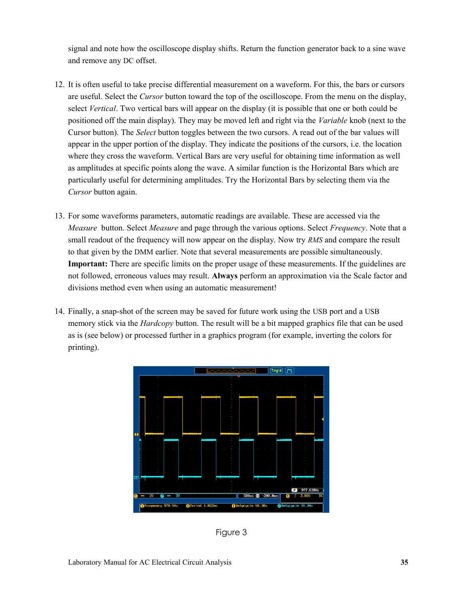signal and note how the oscilloscope display shifts. Return the function generator back to a sine wave and remove any DC offset.

- 12. It is often useful to take precise differential measurement on a waveform. For this, the bars or cursors are useful. Select the *Cursor* button toward the top of the oscilloscope. From the menu on the display, select *Vertical*. Two vertical bars will appear on the display (it is possible that one or both could be positioned off the main display). They may be moved left and right via the *Variable* knob (next to the Cursor button). The *Select* button toggles between the two cursors. A read out of the bar values will appear in the upper portion of the display. They indicate the positions of the cursors, i.e. the location where they cross the waveform. Vertical Bars are very useful for obtaining time information as well as amplitudes at specific points along the wave. A similar function is the Horizontal Bars which are particularly useful for determining amplitudes. Try the Horizontal Bars by selecting them via the *Cursor* button again.
- 13. For some waveforms parameters, automatic readings are available. These are accessed via the *Measure* button. Select *Measure* and page through the various options. Select *Frequency*. Note that a small readout of the frequency will now appear on the display. Now try *RMS* and compare the result to that given by the DMM earlier. Note that several measurements are possible simultaneously. **Important:** There are specific limits on the proper usage of these measurements. If the guidelines are not followed, erroneous values may result. **Always** perform an approximation via the Scale factor and divisions method even when using an automatic measurement!
- 14. Finally, a snap-shot of the screen may be saved for future work using the USB port and a USB memory stick via the *Hardcopy* button. The result will be a bit mapped graphics file that can be used as is (see below) or processed further in a graphics program (for example, inverting the colors for printing).



Figure 3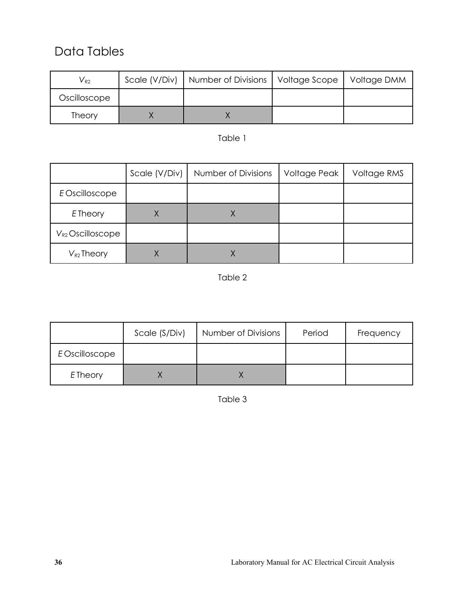### Data Tables

| $V_{R2}$      | Scale (V/Div)   Number of Divisions   Voltage Scope | Voltage DMM |
|---------------|-----------------------------------------------------|-------------|
| Oscilloscope  |                                                     |             |
| <b>Theory</b> |                                                     |             |

#### Table 1

|                       | Scale (V/Div) | Number of Divisions | Voltage Peak | Voltage RMS |
|-----------------------|---------------|---------------------|--------------|-------------|
| E Oscilloscope        |               |                     |              |             |
| E Theory              |               |                     |              |             |
| $V_{R2}$ Oscilloscope |               |                     |              |             |
| $V_{R2}$ Theory       |               |                     |              |             |

#### Table 2

|                | Scale (S/Div) | Number of Divisions | Period | Frequency |
|----------------|---------------|---------------------|--------|-----------|
| E Oscilloscope |               |                     |        |           |
| E Theory       |               |                     |        |           |

Table 3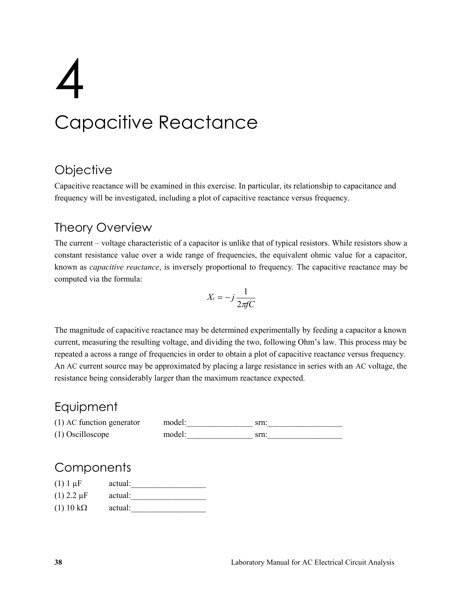# 4 Capacitive Reactance

## **Objective**

Capacitive reactance will be examined in this exercise. In particular, its relationship to capacitance and frequency will be investigated, including a plot of capacitive reactance versus frequency.

## Theory Overview

The current – voltage characteristic of a capacitor is unlike that of typical resistors. While resistors show a constant resistance value over a wide range of frequencies, the equivalent ohmic value for a capacitor, known as *capacitive reactance*, is inversely proportional to frequency. The capacitive reactance may be computed via the formula:

$$
X_c = -j\frac{1}{2\pi fC}
$$

The magnitude of capacitive reactance may be determined experimentally by feeding a capacitor a known current, measuring the resulting voltage, and dividing the two, following Ohm's law. This process may be repeated a across a range of frequencies in order to obtain a plot of capacitive reactance versus frequency. An AC current source may be approximated by placing a large resistance in series with an AC voltage, the resistance being considerably larger than the maximum reactance expected.

## Equipment

(1) AC function generator model: srn: (1) Oscilloscope model:\_\_\_\_\_\_\_\_\_\_\_\_\_\_\_\_ srn:\_\_\_\_\_\_\_\_\_\_\_\_\_\_\_\_\_\_

| $(1) 1 \mu F$       | actual: |  |
|---------------------|---------|--|
| $(1)$ 2.2 $\mu$ F   | actual: |  |
| $(1)$ 10 k $\Omega$ | actual: |  |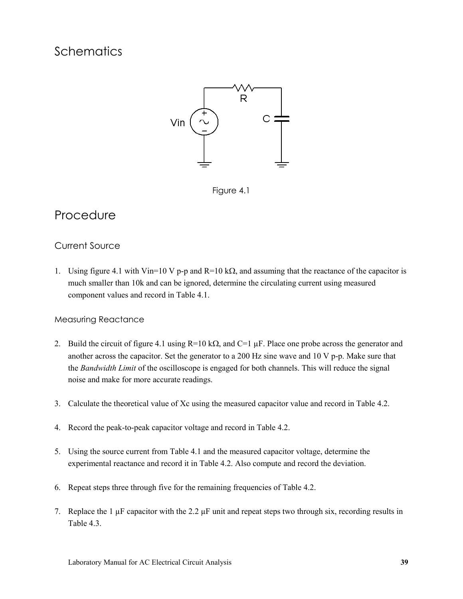

Figure 4.1

## Procedure

### Current Source

1. Using figure 4.1 with Vin=10 V p-p and R=10 k $\Omega$ , and assuming that the reactance of the capacitor is much smaller than 10k and can be ignored, determine the circulating current using measured component values and record in Table 4.1.

#### Measuring Reactance

- 2. Build the circuit of figure 4.1 using R=10 k $\Omega$ , and C=1  $\mu$ F. Place one probe across the generator and another across the capacitor. Set the generator to a 200 Hz sine wave and 10 V p-p. Make sure that the *Bandwidth Limit* of the oscilloscope is engaged for both channels. This will reduce the signal noise and make for more accurate readings.
- 3. Calculate the theoretical value of Xc using the measured capacitor value and record in Table 4.2.
- 4. Record the peak-to-peak capacitor voltage and record in Table 4.2.
- 5. Using the source current from Table 4.1 and the measured capacitor voltage, determine the experimental reactance and record it in Table 4.2. Also compute and record the deviation.
- 6. Repeat steps three through five for the remaining frequencies of Table 4.2.
- 7. Replace the 1 µF capacitor with the 2.2 µF unit and repeat steps two through six, recording results in Table 4.3.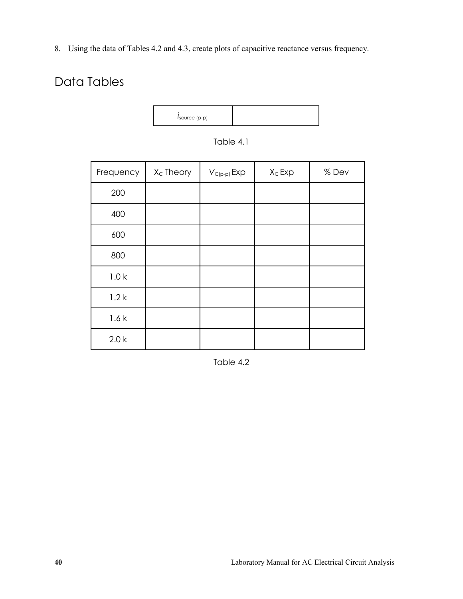8. Using the data of Tables 4.2 and 4.3, create plots of capacitive reactance versus frequency.

# Data Tables



| Frequency        | $X_C$ Theory | $V_{C(p-p)}$ Exp | $X_C$ Exp | %Dev |
|------------------|--------------|------------------|-----------|------|
| 200              |              |                  |           |      |
| 400              |              |                  |           |      |
| 600              |              |                  |           |      |
| 800              |              |                  |           |      |
| 1.0 <sub>k</sub> |              |                  |           |      |
| 1.2k             |              |                  |           |      |
| 1.6k             |              |                  |           |      |
| 2.0 k            |              |                  |           |      |

Table 4.1

Table 4.2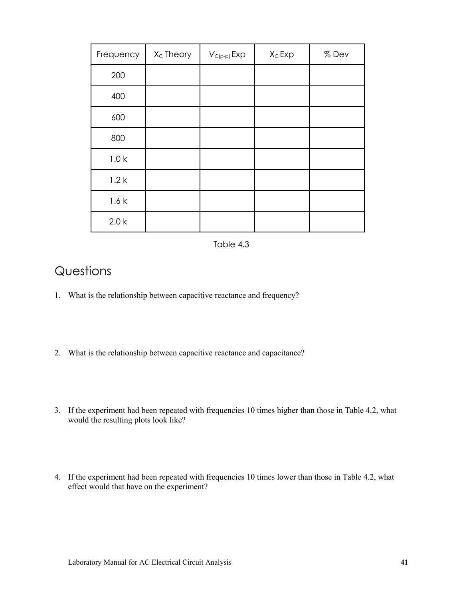| Frequency        | X <sub>c</sub> Theory | $V_{C(p-p)}$ Exp | $X_C$ Exp | %Dev |
|------------------|-----------------------|------------------|-----------|------|
| 200              |                       |                  |           |      |
| 400              |                       |                  |           |      |
| 600              |                       |                  |           |      |
| 800              |                       |                  |           |      |
| 1.0 <sub>k</sub> |                       |                  |           |      |
| 1.2k             |                       |                  |           |      |
| 1.6k             |                       |                  |           |      |
| 2.0 <sub>k</sub> |                       |                  |           |      |

Table 4.3

## **Questions**

- 1. What is the relationship between capacitive reactance and frequency?
- 2. What is the relationship between capacitive reactance and capacitance?
- 3. If the experiment had been repeated with frequencies 10 times higher than those in Table 4.2, what would the resulting plots look like?
- 4. If the experiment had been repeated with frequencies 10 times lower than those in Table 4.2, what effect would that have on the experiment?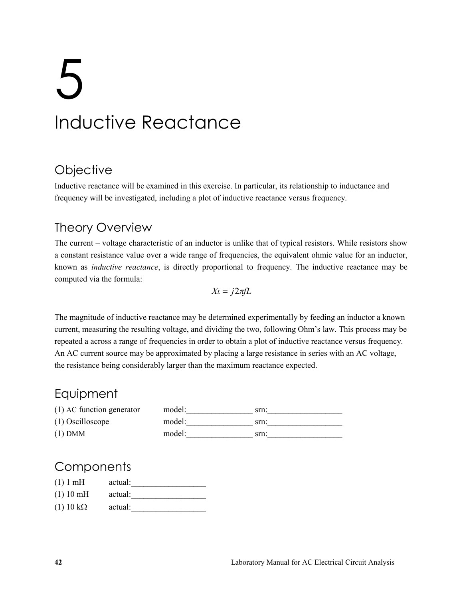# 5 Inductive Reactance

## **Objective**

Inductive reactance will be examined in this exercise. In particular, its relationship to inductance and frequency will be investigated, including a plot of inductive reactance versus frequency.

# Theory Overview

The current – voltage characteristic of an inductor is unlike that of typical resistors. While resistors show a constant resistance value over a wide range of frequencies, the equivalent ohmic value for an inductor, known as *inductive reactance*, is directly proportional to frequency. The inductive reactance may be computed via the formula:

$$
X_L = j2\pi fL
$$

The magnitude of inductive reactance may be determined experimentally by feeding an inductor a known current, measuring the resulting voltage, and dividing the two, following Ohm's law. This process may be repeated a across a range of frequencies in order to obtain a plot of inductive reactance versus frequency. An AC current source may be approximated by placing a large resistance in series with an AC voltage, the resistance being considerably larger than the maximum reactance expected.

## **Equipment**

| (1) AC function generator | model: | srn: |
|---------------------------|--------|------|
| $(1)$ Oscilloscope        | model: | srn: |
| $(1)$ DMM                 | model: | srn: |

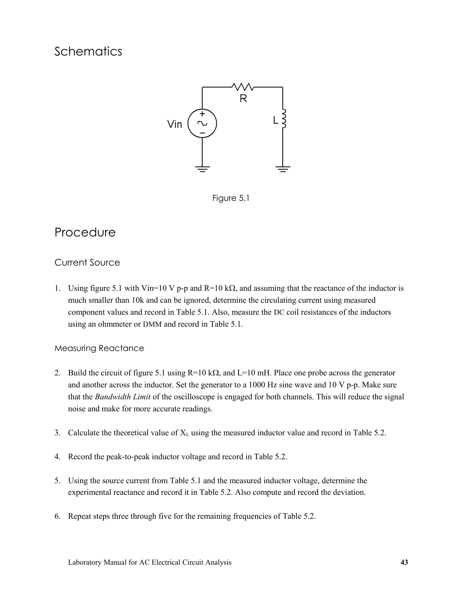

Figure 5.1

## Procedure

### Current Source

1. Using figure 5.1 with Vin=10 V p-p and R=10 k $\Omega$ , and assuming that the reactance of the inductor is much smaller than 10k and can be ignored, determine the circulating current using measured component values and record in Table 5.1. Also, measure the DC coil resistances of the inductors using an ohmmeter or DMM and record in Table 5.1.

#### Measuring Reactance

- 2. Build the circuit of figure 5.1 using  $R=10 \text{ k}\Omega$ , and  $L=10 \text{ mH}$ . Place one probe across the generator and another across the inductor. Set the generator to a 1000 Hz sine wave and 10 V p-p. Make sure that the *Bandwidth Limit* of the oscilloscope is engaged for both channels. This will reduce the signal noise and make for more accurate readings.
- 3. Calculate the theoretical value of  $X_L$  using the measured inductor value and record in Table 5.2.
- 4. Record the peak-to-peak inductor voltage and record in Table 5.2.
- 5. Using the source current from Table 5.1 and the measured inductor voltage, determine the experimental reactance and record it in Table 5.2. Also compute and record the deviation.
- 6. Repeat steps three through five for the remaining frequencies of Table 5.2.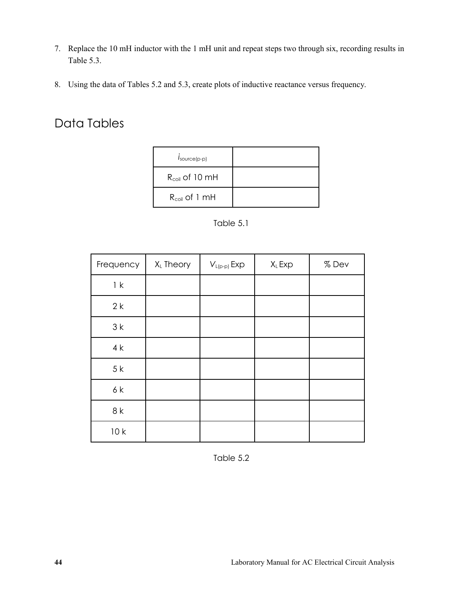- 7. Replace the 10 mH inductor with the 1 mH unit and repeat steps two through six, recording results in Table 5.3.
- 8. Using the data of Tables 5.2 and 5.3, create plots of inductive reactance versus frequency.

# Data Tables

| $I_{\text{source(p-p)}}$ |  |
|--------------------------|--|
| $R_{coil}$ of 10 mH      |  |
| $R_{coil}$ of 1 mH       |  |

Table 5.1

| Frequency | XL Theory | $V_{L(p-p)}$ Exp | $X_L$ Exp | %Dev |
|-----------|-----------|------------------|-----------|------|
| 1 k       |           |                  |           |      |
| 2k        |           |                  |           |      |
| 3k        |           |                  |           |      |
| 4k        |           |                  |           |      |
| 5k        |           |                  |           |      |
| 6k        |           |                  |           |      |
| 8k        |           |                  |           |      |
| 10k       |           |                  |           |      |

Table 5.2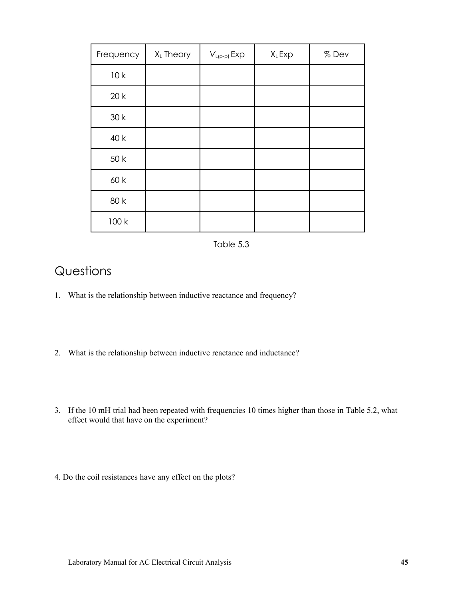| Frequency | XL Theory | $V_{L(p-p)}$ Exp | XL Exp | %Dev |
|-----------|-----------|------------------|--------|------|
| 10k       |           |                  |        |      |
| 20k       |           |                  |        |      |
| 30k       |           |                  |        |      |
| 40 k      |           |                  |        |      |
| 50 k      |           |                  |        |      |
| 60 k      |           |                  |        |      |
| 80 k      |           |                  |        |      |
| 100 k     |           |                  |        |      |

Table 5.3

## **Questions**

- 1. What is the relationship between inductive reactance and frequency?
- 2. What is the relationship between inductive reactance and inductance?
- 3. If the 10 mH trial had been repeated with frequencies 10 times higher than those in Table 5.2, what effect would that have on the experiment?
- 4. Do the coil resistances have any effect on the plots?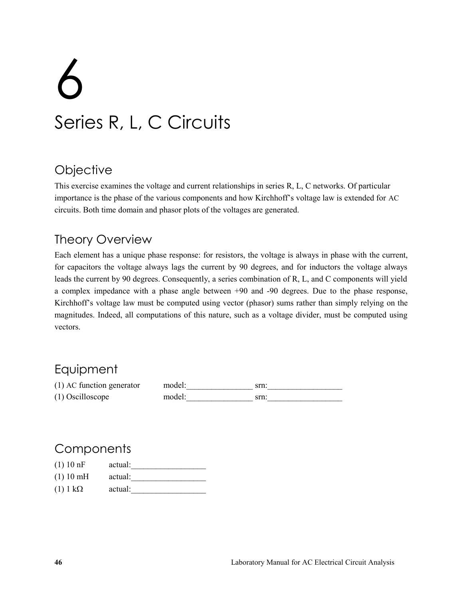# 6 Series R, L, C Circuits

## **Objective**

This exercise examines the voltage and current relationships in series R, L, C networks. Of particular importance is the phase of the various components and how Kirchhoff's voltage law is extended for AC circuits. Both time domain and phasor plots of the voltages are generated.

## Theory Overview

Each element has a unique phase response: for resistors, the voltage is always in phase with the current, for capacitors the voltage always lags the current by 90 degrees, and for inductors the voltage always leads the current by 90 degrees. Consequently, a series combination of R, L, and C components will yield a complex impedance with a phase angle between +90 and -90 degrees. Due to the phase response, Kirchhoff's voltage law must be computed using vector (phasor) sums rather than simply relying on the magnitudes. Indeed, all computations of this nature, such as a voltage divider, must be computed using vectors.

## Equipment

 $(1)$  AC function generator model: \_\_\_\_\_\_\_\_\_\_\_\_\_\_\_ srn: \_\_\_\_\_\_\_\_\_\_\_\_\_\_\_\_\_\_\_\_\_\_\_\_\_ (1) Oscilloscope model: srn:

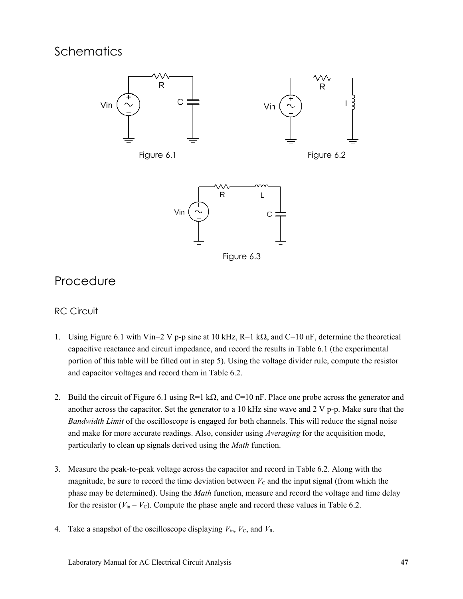



## Procedure

## RC Circuit

- 1. Using Figure 6.1 with Vin=2 V p-p sine at 10 kHz, R=1 k $\Omega$ , and C=10 nF, determine the theoretical capacitive reactance and circuit impedance, and record the results in Table 6.1 (the experimental portion of this table will be filled out in step 5). Using the voltage divider rule, compute the resistor and capacitor voltages and record them in Table 6.2.
- 2. Build the circuit of Figure 6.1 using R=1 k $\Omega$ , and C=10 nF. Place one probe across the generator and another across the capacitor. Set the generator to a 10 kHz sine wave and 2 V p-p. Make sure that the *Bandwidth Limit* of the oscilloscope is engaged for both channels. This will reduce the signal noise and make for more accurate readings. Also, consider using *Averaging* for the acquisition mode, particularly to clean up signals derived using the *Math* function.
- 3. Measure the peak-to-peak voltage across the capacitor and record in Table 6.2. Along with the magnitude, be sure to record the time deviation between  $V<sub>C</sub>$  and the input signal (from which the phase may be determined). Using the *Math* function, measure and record the voltage and time delay for the resistor  $(V_{in} - V_{C})$ . Compute the phase angle and record these values in Table 6.2.
- 4. Take a snapshot of the oscilloscope displaying  $V_{\text{in}}$ ,  $V_{\text{C}}$ , and  $V_{\text{R}}$ .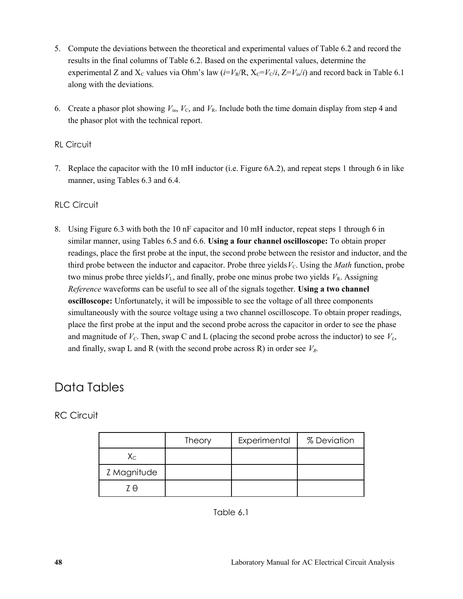- 5. Compute the deviations between the theoretical and experimental values of Table 6.2 and record the results in the final columns of Table 6.2. Based on the experimental values, determine the experimental Z and  $X_c$  values via Ohm's law ( $i=V_R/R$ ,  $X_c=V_c/i$ ,  $Z=V_{in}/i$ ) and record back in Table 6.1 along with the deviations.
- 6. Create a phasor plot showing  $V_{in}$ ,  $V_{C}$ , and  $V_{R}$ . Include both the time domain display from step 4 and the phasor plot with the technical report.

#### RL Circuit

7. Replace the capacitor with the 10 mH inductor (i.e. Figure 6A.2), and repeat steps 1 through 6 in like manner, using Tables 6.3 and 6.4.

#### RLC Circuit

8. Using Figure 6.3 with both the 10 nF capacitor and 10 mH inductor, repeat steps 1 through 6 in similar manner, using Tables 6.5 and 6.6. **Using a four channel oscilloscope:** To obtain proper readings, place the first probe at the input, the second probe between the resistor and inductor, and the third probe between the inductor and capacitor. Probe three yields  $V_c$ . Using the *Math* function, probe two minus probe three yields  $V_L$ , and finally, probe one minus probe two yields  $V_R$ . Assigning *Reference* waveforms can be useful to see all of the signals together. **Using a two channel oscilloscope:** Unfortunately, it will be impossible to see the voltage of all three components simultaneously with the source voltage using a two channel oscilloscope. To obtain proper readings, place the first probe at the input and the second probe across the capacitor in order to see the phase and magnitude of  $V_c$ . Then, swap C and L (placing the second probe across the inductor) to see  $V_L$ , and finally, swap L and R (with the second probe across R) in order see *VR.*

## Data Tables

RC Circuit

|                         | <b>Theory</b> | Experimental | % Deviation |
|-------------------------|---------------|--------------|-------------|
| $\mathsf{X}_\mathsf{C}$ |               |              |             |
| Z Magnitude             |               |              |             |
| 7 A                     |               |              |             |

Table 6.1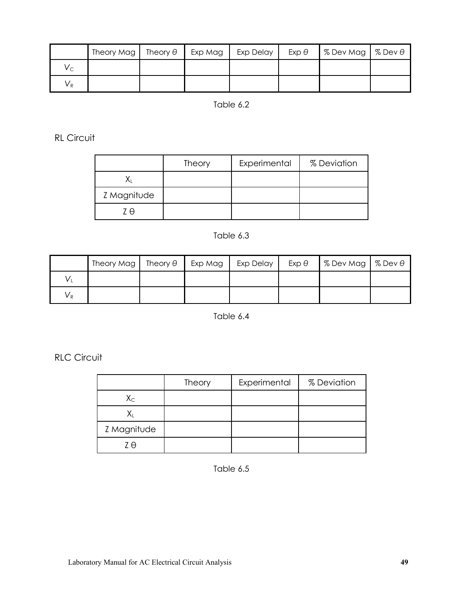|         | Theory Mag | Theory $\theta$ | Exp Mag | Exp Delay | $Exp \theta$ | $\frac{1}{2}$ % Dev Mag $\frac{1}{2}$ % Dev $\theta$ |  |
|---------|------------|-----------------|---------|-----------|--------------|------------------------------------------------------|--|
| $V_{C}$ |            |                 |         |           |              |                                                      |  |
| $V_{R}$ |            |                 |         |           |              |                                                      |  |

## Table 6.2

RL Circuit

|             | <b>Theory</b> | Experimental | % Deviation |
|-------------|---------------|--------------|-------------|
|             |               |              |             |
| Z Magnitude |               |              |             |
| 7 A         |               |              |             |

## Table 6.3

|    | Theory Mag   Theory $\theta$   Exp Mag |  | Exp Delay | $Exp \theta$ | $\frac{1}{2}$ % Dev Mag $\frac{1}{2}$ % Dev $\theta$ |  |
|----|----------------------------------------|--|-----------|--------------|------------------------------------------------------|--|
| v. |                                        |  |           |              |                                                      |  |
| Vр |                                        |  |           |              |                                                      |  |

Table 6.4

RLC Circuit

|             | <b>Theory</b> | Experimental | % Deviation |
|-------------|---------------|--------------|-------------|
| $X_{C}$     |               |              |             |
|             |               |              |             |
| Z Magnitude |               |              |             |
| 7 A         |               |              |             |

Table 6.5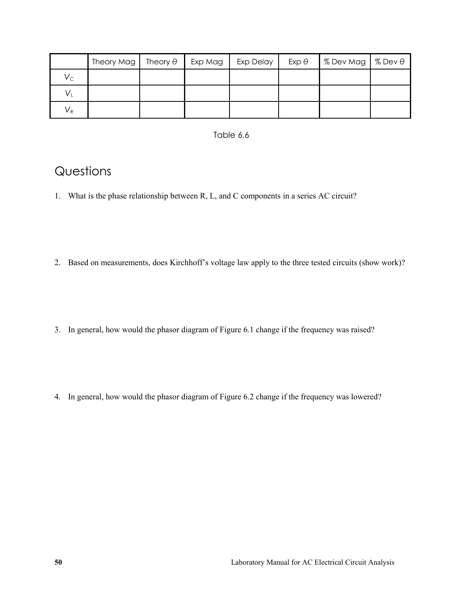|                         | Theory Mag | Theory $\theta$ | Exp Mag | Exp Delay | $Exp \theta$ | $\frac{1}{2}$ % Dev Mag $\frac{1}{2}$ % Dev $\theta$ |  |
|-------------------------|------------|-----------------|---------|-----------|--------------|------------------------------------------------------|--|
| $V_{C}$                 |            |                 |         |           |              |                                                      |  |
| $\mathsf{V}_\mathsf{L}$ |            |                 |         |           |              |                                                      |  |
| $V_{R}$                 |            |                 |         |           |              |                                                      |  |

#### Table 6.6

## **Questions**

- 1. What is the phase relationship between R, L, and C components in a series AC circuit?
- 2. Based on measurements, does Kirchhoff's voltage law apply to the three tested circuits (show work)?
- 3. In general, how would the phasor diagram of Figure 6.1 change if the frequency was raised?
- 4. In general, how would the phasor diagram of Figure 6.2 change if the frequency was lowered?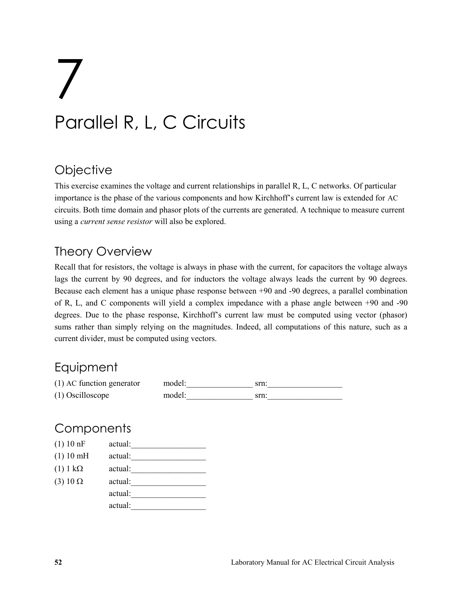# 7 Parallel R, L, C Circuits

## **Objective**

This exercise examines the voltage and current relationships in parallel R, L, C networks. Of particular importance is the phase of the various components and how Kirchhoff's current law is extended for AC circuits. Both time domain and phasor plots of the currents are generated. A technique to measure current using a *current sense resistor* will also be explored.

## Theory Overview

Recall that for resistors, the voltage is always in phase with the current, for capacitors the voltage always lags the current by 90 degrees, and for inductors the voltage always leads the current by 90 degrees. Because each element has a unique phase response between +90 and -90 degrees, a parallel combination of R, L, and C components will yield a complex impedance with a phase angle between +90 and -90 degrees. Due to the phase response, Kirchhoff's current law must be computed using vector (phasor) sums rather than simply relying on the magnitudes. Indeed, all computations of this nature, such as a current divider, must be computed using vectors.

## **Equipment**

| (1) AC function generator | model: | srn. |
|---------------------------|--------|------|
| $(1)$ Oscilloscope        | model: | srn. |

| (1) 10 nF       | actual: |
|-----------------|---------|
| (1) 10 mH       | actual: |
| $(1) 1 k\Omega$ | actual: |
| $(3) 10 \Omega$ | actual: |
|                 | actual: |
|                 | actual: |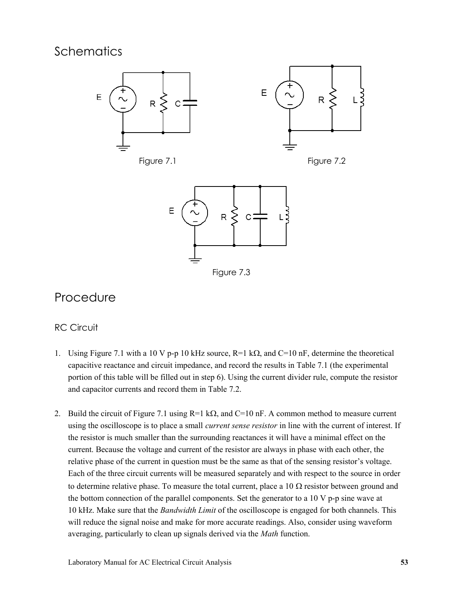

Figure 7.1 Figure 7.2



## Procedure

## RC Circuit

- 1. Using Figure 7.1 with a 10 V p-p 10 kHz source,  $R=1$  k $\Omega$ , and  $C=10$  nF, determine the theoretical capacitive reactance and circuit impedance, and record the results in Table 7.1 (the experimental portion of this table will be filled out in step 6). Using the current divider rule, compute the resistor and capacitor currents and record them in Table 7.2.
- 2. Build the circuit of Figure 7.1 using  $R=1$  k $\Omega$ , and  $C=10$  nF. A common method to measure current using the oscilloscope is to place a small *current sense resistor* in line with the current of interest. If the resistor is much smaller than the surrounding reactances it will have a minimal effect on the current. Because the voltage and current of the resistor are always in phase with each other, the relative phase of the current in question must be the same as that of the sensing resistor's voltage. Each of the three circuit currents will be measured separately and with respect to the source in order to determine relative phase. To measure the total current, place a 10  $\Omega$  resistor between ground and the bottom connection of the parallel components. Set the generator to a  $10 \text{ V p-p}$  sine wave at 10 kHz. Make sure that the *Bandwidth Limit* of the oscilloscope is engaged for both channels. This will reduce the signal noise and make for more accurate readings. Also, consider using waveform averaging, particularly to clean up signals derived via the *Math* function.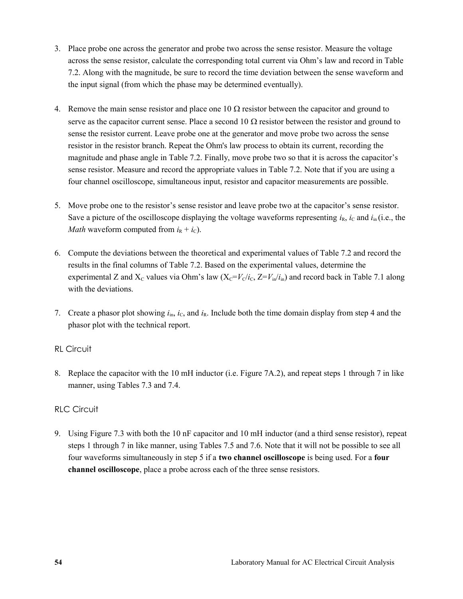- 3. Place probe one across the generator and probe two across the sense resistor. Measure the voltage across the sense resistor, calculate the corresponding total current via Ohm's law and record in Table 7.2. Along with the magnitude, be sure to record the time deviation between the sense waveform and the input signal (from which the phase may be determined eventually).
- 4. Remove the main sense resistor and place one 10  $\Omega$  resistor between the capacitor and ground to serve as the capacitor current sense. Place a second 10  $\Omega$  resistor between the resistor and ground to sense the resistor current. Leave probe one at the generator and move probe two across the sense resistor in the resistor branch. Repeat the Ohm's law process to obtain its current, recording the magnitude and phase angle in Table 7.2. Finally, move probe two so that it is across the capacitor's sense resistor. Measure and record the appropriate values in Table 7.2. Note that if you are using a four channel oscilloscope, simultaneous input, resistor and capacitor measurements are possible.
- 5. Move probe one to the resistor's sense resistor and leave probe two at the capacitor's sense resistor. Save a picture of the oscilloscope displaying the voltage waveforms representing  $i_R$ ,  $i_C$  and  $i<sub>in</sub>$  (i.e., the *Math* waveform computed from  $i_R + i_C$ ).
- 6. Compute the deviations between the theoretical and experimental values of Table 7.2 and record the results in the final columns of Table 7.2. Based on the experimental values, determine the experimental Z and  $X_c$  values via Ohm's law  $(X_c=V_c/i_c, Z=V_{in}/i_n)$  and record back in Table 7.1 along with the deviations.
- 7. Create a phasor plot showing  $i_{in}$ ,  $i_{C}$ , and  $i_{R}$ . Include both the time domain display from step 4 and the phasor plot with the technical report.

#### RL Circuit

8. Replace the capacitor with the 10 mH inductor (i.e. Figure 7A.2), and repeat steps 1 through 7 in like manner, using Tables 7.3 and 7.4.

### RLC Circuit

9. Using Figure 7.3 with both the 10 nF capacitor and 10 mH inductor (and a third sense resistor), repeat steps 1 through 7 in like manner, using Tables 7.5 and 7.6. Note that it will not be possible to see all four waveforms simultaneously in step 5 if a **two channel oscilloscope** is being used. For a **four channel oscilloscope**, place a probe across each of the three sense resistors.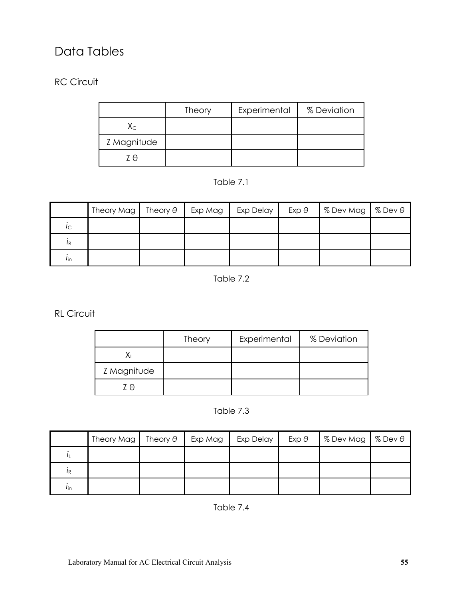# Data Tables

## RC Circuit

|                         | <b>Theory</b> | Experimental | % Deviation |
|-------------------------|---------------|--------------|-------------|
| $\mathsf{X}_\mathsf{C}$ |               |              |             |
| Z Magnitude             |               |              |             |
| 7 A                     |               |              |             |

Table 7.1

|                | Theory Mag | Theory $\theta$ | Exp Mag | Exp Delay | $Exp \theta$ | % Dev Mag   % Dev $\theta$ |  |
|----------------|------------|-----------------|---------|-----------|--------------|----------------------------|--|
| Iс             |            |                 |         |           |              |                            |  |
| 1 <sub>R</sub> |            |                 |         |           |              |                            |  |
| <i>l</i> in    |            |                 |         |           |              |                            |  |

Table 7.2

RL Circuit

|             | <b>Theory</b> | Experimental | % Deviation |
|-------------|---------------|--------------|-------------|
|             |               |              |             |
| Z Magnitude |               |              |             |
| 7 A         |               |              |             |

Table 7.3

|             | Theory Mag | Theory $\theta$ | Exp Mag | Exp Delay | $Exp \theta$ | $\frac{8}{5}$ Dev Mag $\frac{8}{5}$ Dev $\theta$ |  |
|-------------|------------|-----------------|---------|-----------|--------------|--------------------------------------------------|--|
|             |            |                 |         |           |              |                                                  |  |
| IR          |            |                 |         |           |              |                                                  |  |
| <i>l</i> in |            |                 |         |           |              |                                                  |  |

Table 7.4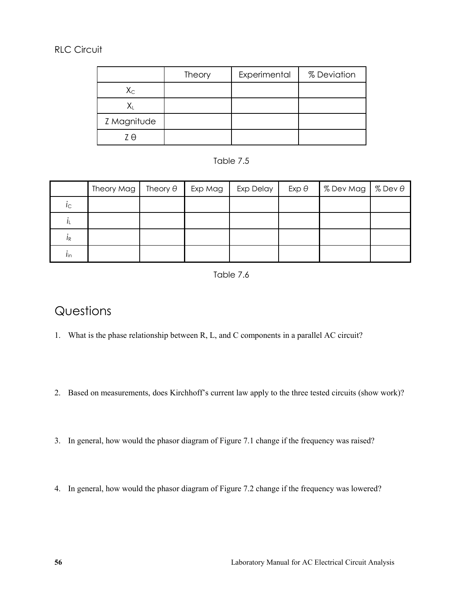## RLC Circuit

|             | <b>Theory</b> | Experimental | % Deviation |
|-------------|---------------|--------------|-------------|
| $X_{C}$     |               |              |             |
|             |               |              |             |
| Z Magnitude |               |              |             |
| 7 A         |               |              |             |



|                 | Theory Mag   Theory $\theta$ |  | Exp Mag   Exp Delay | $Exp \theta$ | $\frac{1}{2}$ % Dev Mag $\frac{1}{2}$ % Dev $\theta$ |  |
|-----------------|------------------------------|--|---------------------|--------------|------------------------------------------------------|--|
| $i_{\rm C}$     |                              |  |                     |              |                                                      |  |
|                 |                              |  |                     |              |                                                      |  |
| IR              |                              |  |                     |              |                                                      |  |
| $I_{\text{in}}$ |                              |  |                     |              |                                                      |  |

Table 7.6

# **Questions**

- 1. What is the phase relationship between R, L, and C components in a parallel AC circuit?
- 2. Based on measurements, does Kirchhoff's current law apply to the three tested circuits (show work)?
- 3. In general, how would the phasor diagram of Figure 7.1 change if the frequency was raised?
- 4. In general, how would the phasor diagram of Figure 7.2 change if the frequency was lowered?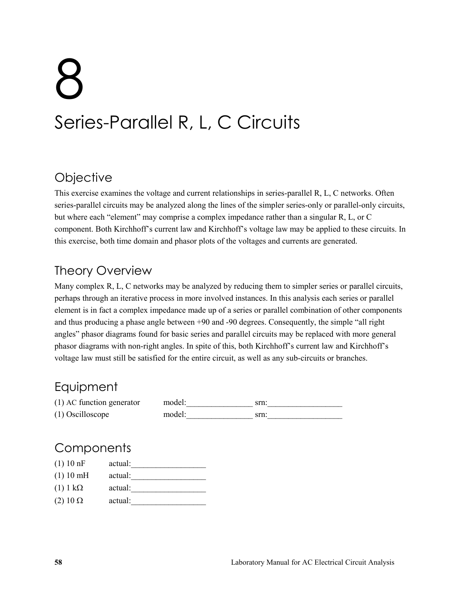# 8 Series-Parallel R, L, C Circuits

## **Objective**

This exercise examines the voltage and current relationships in series-parallel R, L, C networks. Often series-parallel circuits may be analyzed along the lines of the simpler series-only or parallel-only circuits, but where each "element" may comprise a complex impedance rather than a singular R, L, or C component. Both Kirchhoff's current law and Kirchhoff's voltage law may be applied to these circuits. In this exercise, both time domain and phasor plots of the voltages and currents are generated.

# Theory Overview

Many complex R, L, C networks may be analyzed by reducing them to simpler series or parallel circuits, perhaps through an iterative process in more involved instances. In this analysis each series or parallel element is in fact a complex impedance made up of a series or parallel combination of other components and thus producing a phase angle between +90 and -90 degrees. Consequently, the simple "all right angles" phasor diagrams found for basic series and parallel circuits may be replaced with more general phasor diagrams with non-right angles. In spite of this, both Kirchhoff's current law and Kirchhoff's voltage law must still be satisfied for the entire circuit, as well as any sub-circuits or branches.

# **Equipment**

| (1) AC function generator | model: | srn. |
|---------------------------|--------|------|
| $(1)$ Oscilloscope        | model: | srn. |

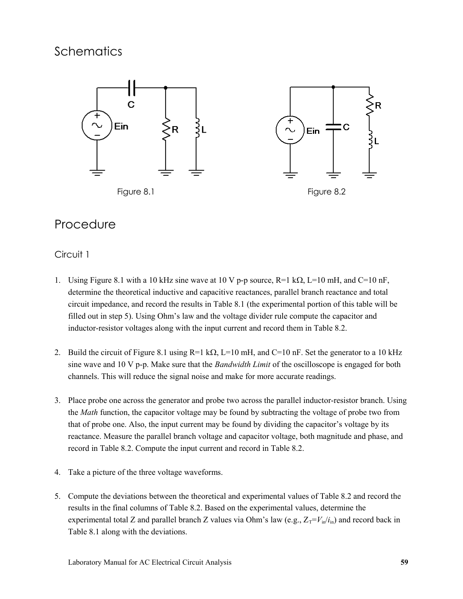

## Procedure

### Circuit 1

- 1. Using Figure 8.1 with a 10 kHz sine wave at 10 V p-p source,  $R=1$  k $\Omega$ , L=10 mH, and C=10 nF, determine the theoretical inductive and capacitive reactances, parallel branch reactance and total circuit impedance, and record the results in Table 8.1 (the experimental portion of this table will be filled out in step 5). Using Ohm's law and the voltage divider rule compute the capacitor and inductor-resistor voltages along with the input current and record them in Table 8.2.
- 2. Build the circuit of Figure 8.1 using R=1 k $\Omega$ , L=10 mH, and C=10 nF. Set the generator to a 10 kHz sine wave and 10 V p-p. Make sure that the *Bandwidth Limit* of the oscilloscope is engaged for both channels. This will reduce the signal noise and make for more accurate readings.
- 3. Place probe one across the generator and probe two across the parallel inductor-resistor branch. Using the *Math* function, the capacitor voltage may be found by subtracting the voltage of probe two from that of probe one. Also, the input current may be found by dividing the capacitor's voltage by its reactance. Measure the parallel branch voltage and capacitor voltage, both magnitude and phase, and record in Table 8.2. Compute the input current and record in Table 8.2.
- 4. Take a picture of the three voltage waveforms.
- 5. Compute the deviations between the theoretical and experimental values of Table 8.2 and record the results in the final columns of Table 8.2. Based on the experimental values, determine the experimental total Z and parallel branch Z values via Ohm's law (e.g.,  $Z_T = V_{in}/i_{in}$ ) and record back in Table 8.1 along with the deviations.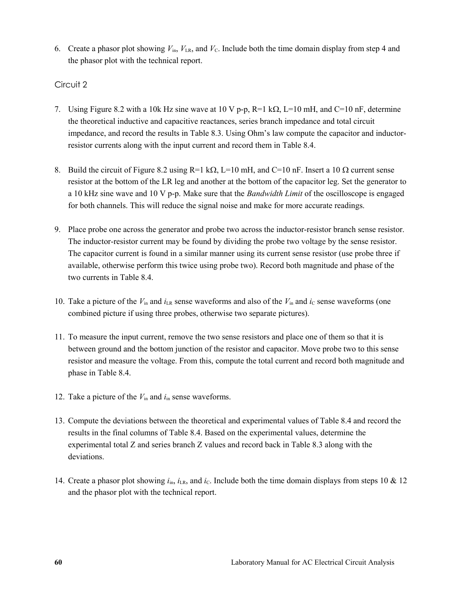6. Create a phasor plot showing  $V_{\text{in}}$ ,  $V_{\text{LR}}$ , and  $V_{\text{C}}$ . Include both the time domain display from step 4 and the phasor plot with the technical report.

#### Circuit 2

- 7. Using Figure 8.2 with a 10k Hz sine wave at 10 V p-p,  $R=1$  k $\Omega$ ,  $L=10$  mH, and C=10 nF, determine the theoretical inductive and capacitive reactances, series branch impedance and total circuit impedance, and record the results in Table 8.3. Using Ohm's law compute the capacitor and inductorresistor currents along with the input current and record them in Table 8.4.
- 8. Build the circuit of Figure 8.2 using R=1 k $\Omega$ , L=10 mH, and C=10 nF. Insert a 10  $\Omega$  current sense resistor at the bottom of the LR leg and another at the bottom of the capacitor leg. Set the generator to a 10 kHz sine wave and 10 V p-p. Make sure that the *Bandwidth Limit* of the oscilloscope is engaged for both channels. This will reduce the signal noise and make for more accurate readings.
- 9. Place probe one across the generator and probe two across the inductor-resistor branch sense resistor. The inductor-resistor current may be found by dividing the probe two voltage by the sense resistor. The capacitor current is found in a similar manner using its current sense resistor (use probe three if available, otherwise perform this twice using probe two). Record both magnitude and phase of the two currents in Table 8.4.
- 10. Take a picture of the  $V_{\text{in}}$  and  $i_{\text{LR}}$  sense waveforms and also of the  $V_{\text{in}}$  and  $i_{\text{C}}$  sense waveforms (one combined picture if using three probes, otherwise two separate pictures).
- 11. To measure the input current, remove the two sense resistors and place one of them so that it is between ground and the bottom junction of the resistor and capacitor. Move probe two to this sense resistor and measure the voltage. From this, compute the total current and record both magnitude and phase in Table 8.4.
- 12. Take a picture of the *V*in and *i*in sense waveforms.
- 13. Compute the deviations between the theoretical and experimental values of Table 8.4 and record the results in the final columns of Table 8.4. Based on the experimental values, determine the experimental total Z and series branch Z values and record back in Table 8.3 along with the deviations.
- 14. Create a phasor plot showing  $i_{in}$ ,  $i_{LR}$ , and  $i_{C}$ . Include both the time domain displays from steps 10  $\&$  12 and the phasor plot with the technical report.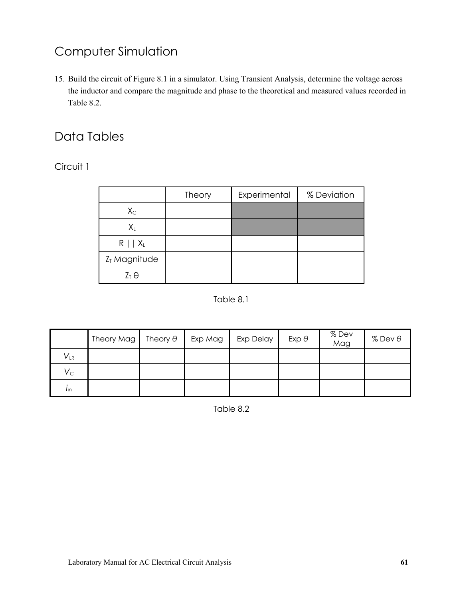# Computer Simulation

15. Build the circuit of Figure 8.1 in a simulator. Using Transient Analysis, determine the voltage across the inductor and compare the magnitude and phase to the theoretical and measured values recorded in Table 8.2.

# Data Tables

Circuit 1

|                          | Theory | Experimental | % Deviation |  |
|--------------------------|--------|--------------|-------------|--|
| $X_{C}$                  |        |              |             |  |
| $X_{L}$                  |        |              |             |  |
| $R \mid \mid X_L$        |        |              |             |  |
| Z <sub>T</sub> Magnitude |        |              |             |  |
| $Z_T \Theta$             |        |              |             |  |

#### Table 8.1

|                            | Theory Mag | Theory $\theta$ | Exp Mag | Exp Delay | $Exp \theta$ | % Dev<br>Mag | $%$ Dev $\theta$ |
|----------------------------|------------|-----------------|---------|-----------|--------------|--------------|------------------|
| $\mathsf{V}_{\mathsf{LR}}$ |            |                 |         |           |              |              |                  |
| $V_{\rm C}$                |            |                 |         |           |              |              |                  |
| $I_{\text{in}}$            |            |                 |         |           |              |              |                  |

Table 8.2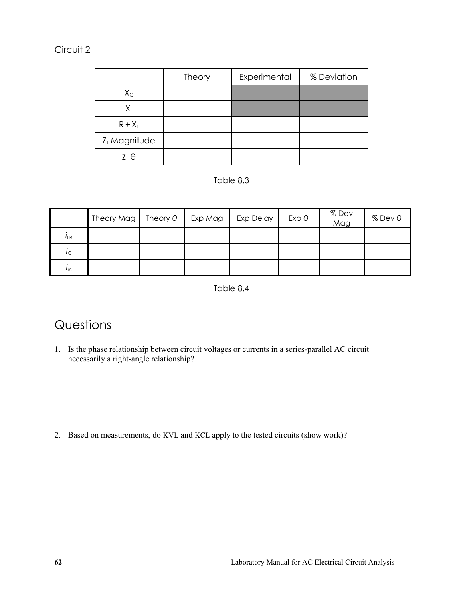## Circuit 2

|                | Theory | Experimental | % Deviation |
|----------------|--------|--------------|-------------|
| $X_{C}$        |        |              |             |
| $X_L$          |        |              |             |
| $R + X_L$      |        |              |             |
| $ZT$ Magnitude |        |              |             |
| $Z_T \Theta$   |        |              |             |



|                 | Theory Mag | Theory $\theta$ | Exp Mag | Exp Delay | $Exp \theta$ | % Dev<br>Mag | $%$ Dev $\theta$ |
|-----------------|------------|-----------------|---------|-----------|--------------|--------------|------------------|
| $I_{LR}$        |            |                 |         |           |              |              |                  |
| $i_{\text{C}}$  |            |                 |         |           |              |              |                  |
| $l_{\text{in}}$ |            |                 |         |           |              |              |                  |

Table 8.4

# **Questions**

1. Is the phase relationship between circuit voltages or currents in a series-parallel AC circuit necessarily a right-angle relationship?

2. Based on measurements, do KVL and KCL apply to the tested circuits (show work)?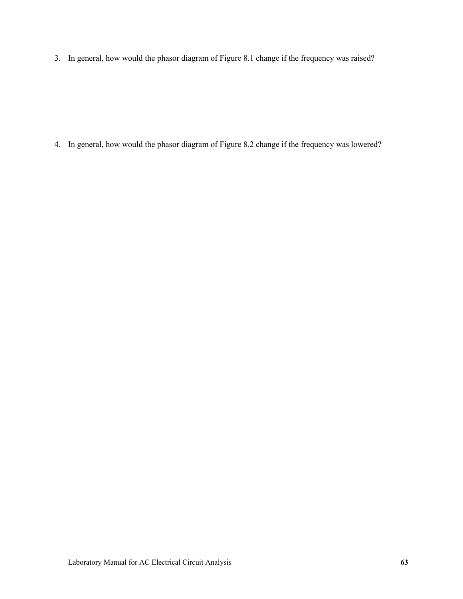3. In general, how would the phasor diagram of Figure 8.1 change if the frequency was raised?

4. In general, how would the phasor diagram of Figure 8.2 change if the frequency was lowered?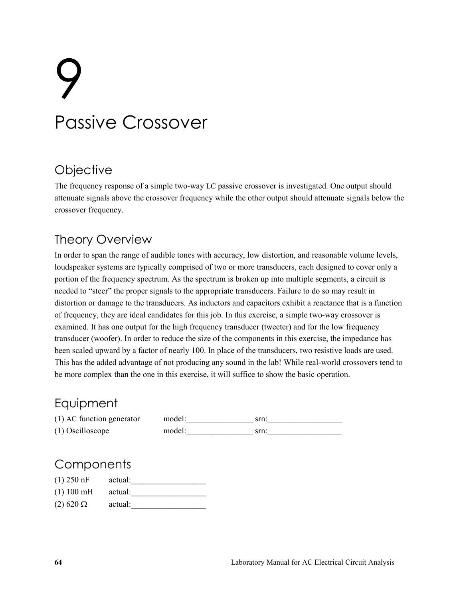# 9 Passive Crossover

## **Objective**

The frequency response of a simple two-way LC passive crossover is investigated. One output should attenuate signals above the crossover frequency while the other output should attenuate signals below the crossover frequency.

# Theory Overview

In order to span the range of audible tones with accuracy, low distortion, and reasonable volume levels, loudspeaker systems are typically comprised of two or more transducers, each designed to cover only a portion of the frequency spectrum. As the spectrum is broken up into multiple segments, a circuit is needed to "steer" the proper signals to the appropriate transducers. Failure to do so may result in distortion or damage to the transducers. As inductors and capacitors exhibit a reactance that is a function of frequency, they are ideal candidates for this job. In this exercise, a simple two-way crossover is examined. It has one output for the high frequency transducer (tweeter) and for the low frequency transducer (woofer). In order to reduce the size of the components in this exercise, the impedance has been scaled upward by a factor of nearly 100. In place of the transducers, two resistive loads are used. This has the added advantage of not producing any sound in the lab! While real-world crossovers tend to be more complex than the one in this exercise, it will suffice to show the basic operation.

## Equipment

| $(1)$ AC function generator | model: |  |
|-----------------------------|--------|--|
| $(1)$ Oscilloscope          | model: |  |

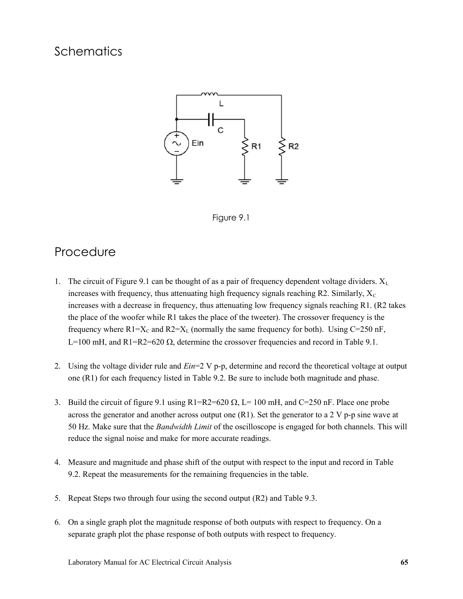



## Procedure

- 1. The circuit of Figure 9.1 can be thought of as a pair of frequency dependent voltage dividers.  $X_L$ increases with frequency, thus attenuating high frequency signals reaching R2. Similarly,  $X_c$ increases with a decrease in frequency, thus attenuating low frequency signals reaching R1. (R2 takes the place of the woofer while R1 takes the place of the tweeter). The crossover frequency is the frequency where  $R1=X_C$  and  $R2=X_L$  (normally the same frequency for both). Using C=250 nF, L=100 mH, and R1=R2=620  $\Omega$ , determine the crossover frequencies and record in Table 9.1.
- 2. Using the voltage divider rule and *Ein*=2 V p-p, determine and record the theoretical voltage at output one (R1) for each frequency listed in Table 9.2. Be sure to include both magnitude and phase.
- 3. Build the circuit of figure 9.1 using  $R1=R2=620 \Omega$ , L= 100 mH, and C=250 nF. Place one probe across the generator and another across output one  $(R1)$ . Set the generator to a 2 V p-p sine wave at 50 Hz. Make sure that the *Bandwidth Limit* of the oscilloscope is engaged for both channels. This will reduce the signal noise and make for more accurate readings.
- 4. Measure and magnitude and phase shift of the output with respect to the input and record in Table 9.2. Repeat the measurements for the remaining frequencies in the table.
- 5. Repeat Steps two through four using the second output (R2) and Table 9.3.
- 6. On a single graph plot the magnitude response of both outputs with respect to frequency. On a separate graph plot the phase response of both outputs with respect to frequency.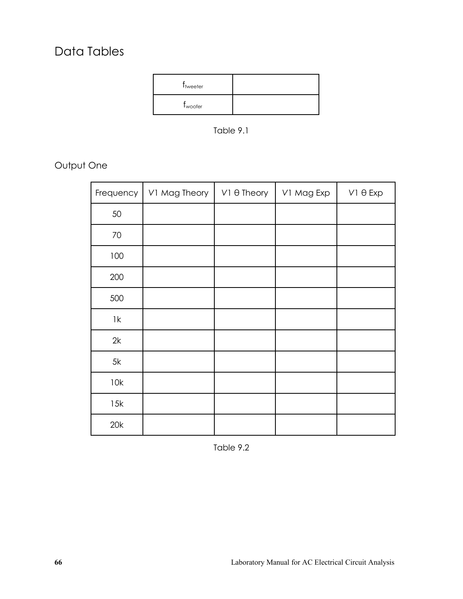# Data Tables

| <b>T</b> tweeter    |  |
|---------------------|--|
| T <sub>woofer</sub> |  |

Table 9.1

Output One

| Frequency     | V1 Mag Theory | $V1 \theta$ Theory | V1 Mag Exp | $V1 \theta$ Exp |
|---------------|---------------|--------------------|------------|-----------------|
| 50            |               |                    |            |                 |
| $70\,$        |               |                    |            |                 |
| 100           |               |                    |            |                 |
| 200           |               |                    |            |                 |
| 500           |               |                    |            |                 |
| $1\mathrm{k}$ |               |                    |            |                 |
| 2k            |               |                    |            |                 |
| 5k            |               |                    |            |                 |
| 10k           |               |                    |            |                 |
| 15k           |               |                    |            |                 |
| 20k           |               |                    |            |                 |

Table 9.2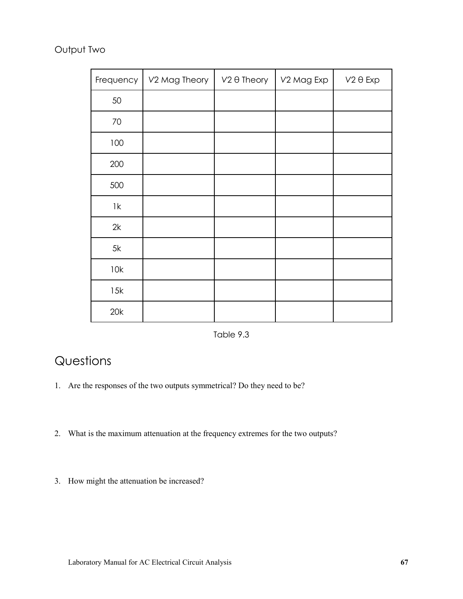## Output Two

| Frequency       | V2 Mag Theory | $V2 \theta$ Theory | V2 Mag Exp | $V2 \theta$ Exp |
|-----------------|---------------|--------------------|------------|-----------------|
| 50              |               |                    |            |                 |
| 70              |               |                    |            |                 |
| 100             |               |                    |            |                 |
| 200             |               |                    |            |                 |
| 500             |               |                    |            |                 |
| $1\,\mathrm{k}$ |               |                    |            |                 |
| 2k              |               |                    |            |                 |
| 5k              |               |                    |            |                 |
| 10k             |               |                    |            |                 |
| 15k             |               |                    |            |                 |
| 20k             |               |                    |            |                 |

Table 9.3

# Questions

- 1. Are the responses of the two outputs symmetrical? Do they need to be?
- 2. What is the maximum attenuation at the frequency extremes for the two outputs?
- 3. How might the attenuation be increased?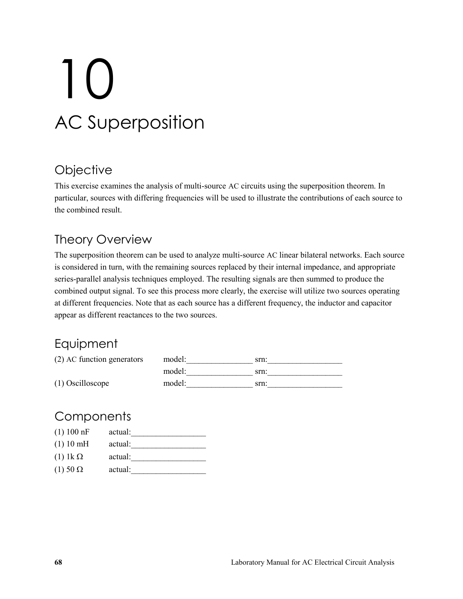# 10 AC Superposition

## **Objective**

This exercise examines the analysis of multi-source AC circuits using the superposition theorem. In particular, sources with differing frequencies will be used to illustrate the contributions of each source to the combined result.

# Theory Overview

The superposition theorem can be used to analyze multi-source AC linear bilateral networks. Each source is considered in turn, with the remaining sources replaced by their internal impedance, and appropriate series-parallel analysis techniques employed. The resulting signals are then summed to produce the combined output signal. To see this process more clearly, the exercise will utilize two sources operating at different frequencies. Note that as each source has a different frequency, the inductor and capacitor appear as different reactances to the two sources.

# Equipment

| (2) AC function generators | model: | srn: |
|----------------------------|--------|------|
|                            | model: | srn: |
| $(1)$ Oscilloscope         | model: | srn: |

| (1) 100 nF        | actual: |
|-------------------|---------|
| (1) 10 mH         | actual: |
| (1) $1k \Omega$   | actual: |
| $(1)$ 50 $\Omega$ | actual: |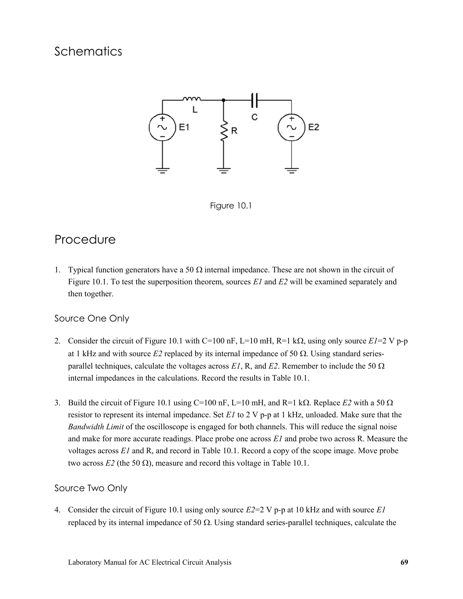



## Procedure

1. Typical function generators have a 50  $\Omega$  internal impedance. These are not shown in the circuit of Figure 10.1. To test the superposition theorem, sources *E1* and *E2* will be examined separately and then together.

### Source One Only

- 2. Consider the circuit of Figure 10.1 with C=100 nF, L=10 mH, R=1 k $\Omega$ , using only source  $E1=2$  V p-p at 1 kHz and with source  $E_2$  replaced by its internal impedance of 50  $\Omega$ . Using standard seriesparallel techniques, calculate the voltages across  $EI$ , R, and  $E2$ . Remember to include the 50  $\Omega$ internal impedances in the calculations. Record the results in Table 10.1.
- 3. Build the circuit of Figure 10.1 using C=100 nF, L=10 mH, and R=1 k $\Omega$ . Replace *E2* with a 50  $\Omega$ resistor to represent its internal impedance. Set *E1* to 2 V p-p at 1 kHz, unloaded. Make sure that the *Bandwidth Limit* of the oscilloscope is engaged for both channels. This will reduce the signal noise and make for more accurate readings. Place probe one across *E1* and probe two across R. Measure the voltages across *E1* and R, and record in Table 10.1. Record a copy of the scope image. Move probe two across  $E_2$  (the 50  $\Omega$ ), measure and record this voltage in Table 10.1.

### Source Two Only

4. Consider the circuit of Figure 10.1 using only source *E2*=2 V p-p at 10 kHz and with source *E1* replaced by its internal impedance of 50  $\Omega$ . Using standard series-parallel techniques, calculate the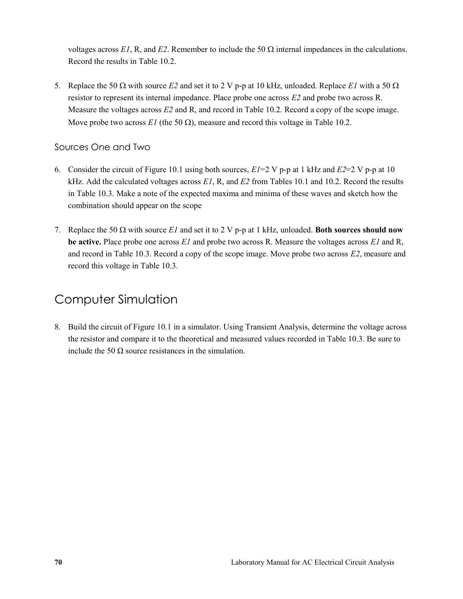voltages across  $EI$ , R, and  $E2$ . Remember to include the 50  $\Omega$  internal impedances in the calculations. Record the results in Table 10.2.

5. Replace the 50  $\Omega$  with source *E2* and set it to 2 V p-p at 10 kHz, unloaded. Replace *E1* with a 50  $\Omega$ resistor to represent its internal impedance. Place probe one across *E2* and probe two across R. Measure the voltages across *E2* and R, and record in Table 10.2. Record a copy of the scope image. Move probe two across *E1* (the 50  $\Omega$ ), measure and record this voltage in Table 10.2.

### Sources One and Two

- 6. Consider the circuit of Figure 10.1 using both sources, *E1*=2 V p-p at 1 kHz and *E2*=2 V p-p at 10 kHz. Add the calculated voltages across *E1*, R, and *E2* from Tables 10.1 and 10.2. Record the results in Table 10.3. Make a note of the expected maxima and minima of these waves and sketch how the combination should appear on the scope
- 7. Replace the 50  $\Omega$  with source *E1* and set it to 2 V p-p at 1 kHz, unloaded. **Both sources should now be active.** Place probe one across *E1* and probe two across R. Measure the voltages across *E1* and R, and record in Table 10.3. Record a copy of the scope image. Move probe two across *E2*, measure and record this voltage in Table 10.3.

## Computer Simulation

8. Build the circuit of Figure 10.1 in a simulator. Using Transient Analysis, determine the voltage across the resistor and compare it to the theoretical and measured values recorded in Table 10.3. Be sure to include the 50  $\Omega$  source resistances in the simulation.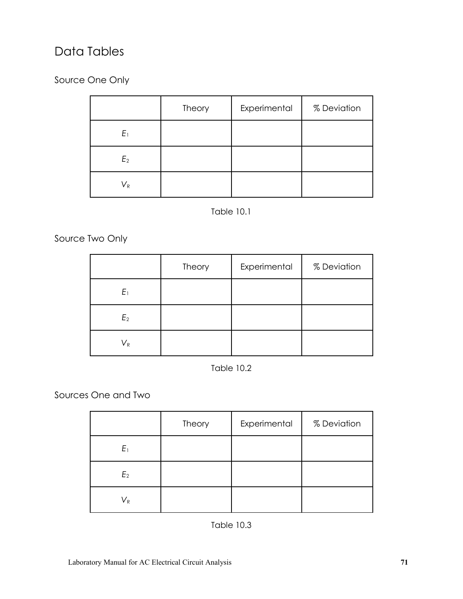# Data Tables

Source One Only

|                | Theory | Experimental | % Deviation |
|----------------|--------|--------------|-------------|
| $E_1$          |        |              |             |
| E <sub>2</sub> |        |              |             |
| $V_{R}$        |        |              |             |

## Table 10.1

Source Two Only

|                           | Theory | Experimental | % Deviation |
|---------------------------|--------|--------------|-------------|
| $E_1$                     |        |              |             |
| E <sub>2</sub>            |        |              |             |
| $\mathsf{V}_{\mathsf{R}}$ |        |              |             |

Table 10.2

Sources One and Two

|                           | Theory | Experimental | % Deviation |
|---------------------------|--------|--------------|-------------|
| $E_1$                     |        |              |             |
| E <sub>2</sub>            |        |              |             |
| $\mathsf{V}_{\mathsf{R}}$ |        |              |             |

Table 10.3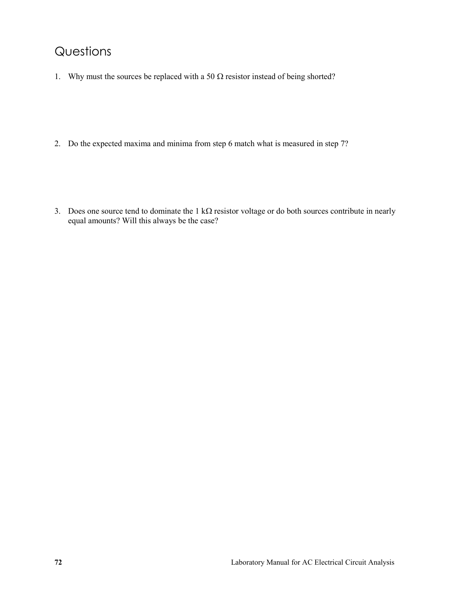## Questions

- 1. Why must the sources be replaced with a 50  $\Omega$  resistor instead of being shorted?
- 2. Do the expected maxima and minima from step 6 match what is measured in step 7?
- 3. Does one source tend to dominate the  $1 \text{ k}\Omega$  resistor voltage or do both sources contribute in nearly equal amounts? Will this always be the case?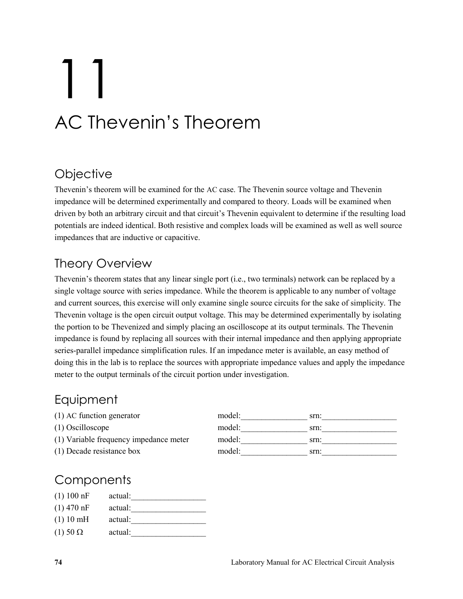# 11 AC Thevenin's Theorem

# **Objective**

Thevenin's theorem will be examined for the AC case. The Thevenin source voltage and Thevenin impedance will be determined experimentally and compared to theory. Loads will be examined when driven by both an arbitrary circuit and that circuit's Thevenin equivalent to determine if the resulting load potentials are indeed identical. Both resistive and complex loads will be examined as well as well source impedances that are inductive or capacitive.

# Theory Overview

Thevenin's theorem states that any linear single port (i.e., two terminals) network can be replaced by a single voltage source with series impedance. While the theorem is applicable to any number of voltage and current sources, this exercise will only examine single source circuits for the sake of simplicity. The Thevenin voltage is the open circuit output voltage. This may be determined experimentally by isolating the portion to be Thevenized and simply placing an oscilloscope at its output terminals. The Thevenin impedance is found by replacing all sources with their internal impedance and then applying appropriate series-parallel impedance simplification rules. If an impedance meter is available, an easy method of doing this in the lab is to replace the sources with appropriate impedance values and apply the impedance meter to the output terminals of the circuit portion under investigation.

## Equipment

 $(1)$  AC function generator

- $(1)$  Oscilloscope
- $(1)$  Variable frequency impedance meter
- $(1)$  Decade resistance box

| model: | srn: |
|--------|------|
| model: | srn: |
| model: | srn: |
| model: | srn: |

## **Components**

| $(1) 100$ nF      | actual: |  |
|-------------------|---------|--|
| $(1)$ 470 nF      | actual: |  |
| $(1) 10$ mH       | actual: |  |
| $(1)$ 50 $\Omega$ | actual: |  |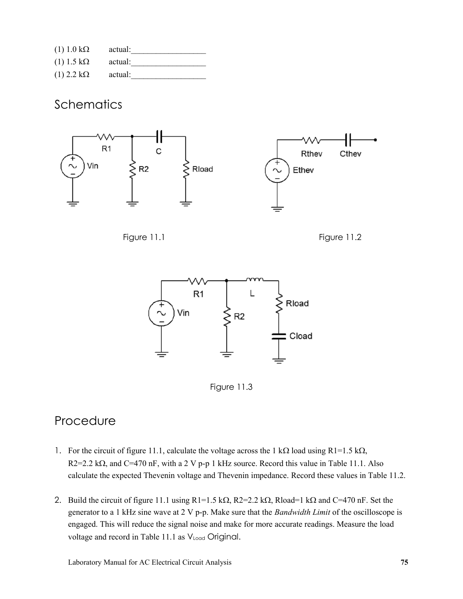| $(1)$ 1.0 k $\Omega$ | actual: |  |
|----------------------|---------|--|
| $(1)$ 1.5 kΩ         | actual: |  |
| $(1)$ 2.2 k $\Omega$ | actual: |  |

### **Schematics**







Figure 11.3

## Procedure

- 1. For the circuit of figure 11.1, calculate the voltage across the 1 k $\Omega$  load using R1=1.5 k $\Omega$ ,  $R2=2.2$  k $\Omega$ , and C=470 nF, with a 2 V p-p 1 kHz source. Record this value in Table 11.1. Also calculate the expected Thevenin voltage and Thevenin impedance. Record these values in Table 11.2.
- 2. Build the circuit of figure 11.1 using R1=1.5 k $\Omega$ , R2=2.2 k $\Omega$ , Rload=1 k $\Omega$  and C=470 nF. Set the generator to a 1 kHz sine wave at 2 V p-p. Make sure that the *Bandwidth Limit* of the oscilloscope is engaged. This will reduce the signal noise and make for more accurate readings. Measure the load voltage and record in Table 11.1 as  $V_{load}$  Original.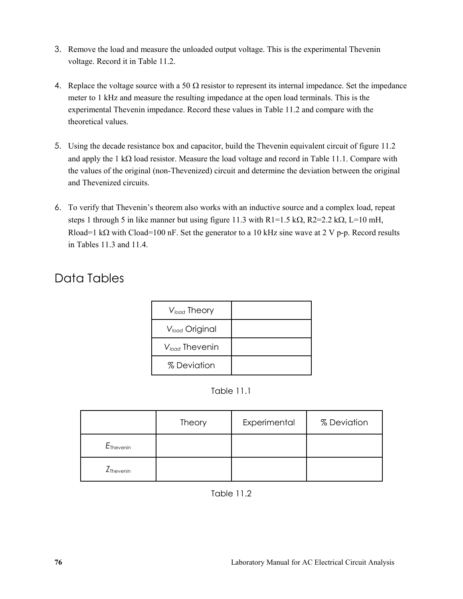- 3. Remove the load and measure the unloaded output voltage. This is the experimental Thevenin voltage. Record it in Table 11.2.
- 4. Replace the voltage source with a 50  $\Omega$  resistor to represent its internal impedance. Set the impedance meter to 1 kHz and measure the resulting impedance at the open load terminals. This is the experimental Thevenin impedance. Record these values in Table 11.2 and compare with the theoretical values.
- 5. Using the decade resistance box and capacitor, build the Thevenin equivalent circuit of figure 11.2 and apply the 1 k $\Omega$  load resistor. Measure the load voltage and record in Table 11.1. Compare with the values of the original (non-Thevenized) circuit and determine the deviation between the original and Thevenized circuits.
- 6. To verify that Thevenin's theorem also works with an inductive source and a complex load, repeat steps 1 through 5 in like manner but using figure 11.3 with  $R1=1.5$  k $\Omega$ ,  $R2=2.2$  k $\Omega$ ,  $L=10$  mH, Rload=1 k $\Omega$  with Cload=100 nF. Set the generator to a 10 kHz sine wave at 2 V p-p. Record results in Tables 11.3 and 11.4.

## Data Tables

| V <sub>load</sub> Theory   |  |
|----------------------------|--|
| V <sub>load</sub> Original |  |
| $V_{load}$ Thevenin        |  |
| % Deviation                |  |

Table 11.1

|                       | <b>Theory</b> | Experimental | % Deviation |
|-----------------------|---------------|--------------|-------------|
| $E_{\text{Thevenin}}$ |               |              |             |
| Z <sub>Thevenin</sub> |               |              |             |

Table 11.2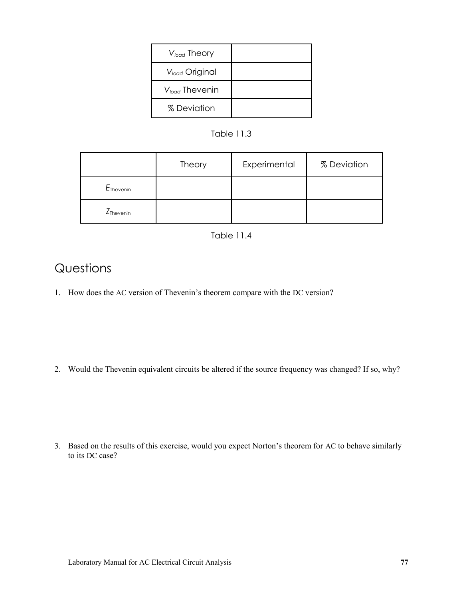| $V_{load}$ Theory          |  |
|----------------------------|--|
| V <sub>load</sub> Original |  |
| $V_{load}$ Thevenin        |  |
| % Deviation                |  |

#### Table 11.3

|                              | Theory | Experimental | % Deviation |
|------------------------------|--------|--------------|-------------|
| E <sub>Thevenin</sub>        |        |              |             |
| <b>Z</b> <sub>Thevenin</sub> |        |              |             |

#### Table 11.4

## Questions

1. How does the AC version of Thevenin's theorem compare with the DC version?

2. Would the Thevenin equivalent circuits be altered if the source frequency was changed? If so, why?

3. Based on the results of this exercise, would you expect Norton's theorem for AC to behave similarly to its DC case?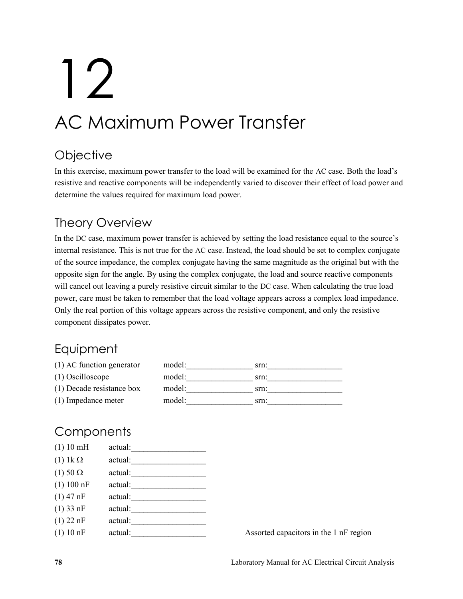# 12 AC Maximum Power Transfer

# **Objective**

In this exercise, maximum power transfer to the load will be examined for the AC case. Both the load's resistive and reactive components will be independently varied to discover their effect of load power and determine the values required for maximum load power.

# Theory Overview

In the DC case, maximum power transfer is achieved by setting the load resistance equal to the source's internal resistance. This is not true for the AC case. Instead, the load should be set to complex conjugate of the source impedance, the complex conjugate having the same magnitude as the original but with the opposite sign for the angle. By using the complex conjugate, the load and source reactive components will cancel out leaving a purely resistive circuit similar to the DC case. When calculating the true load power, care must be taken to remember that the load voltage appears across a complex load impedance. Only the real portion of this voltage appears across the resistive component, and only the resistive component dissipates power.

## **Equipment**

| $(1)$ AC function generator | model: | srn: |
|-----------------------------|--------|------|
| $(1)$ Oscilloscope          | model: | srn: |
| (1) Decade resistance box   | model: | srn: |
| (1) Impedance meter         | model: | srn: |

# **Components**

| (1) 10 mH         | actual: |
|-------------------|---------|
| $(1)$ 1k $\Omega$ | actual: |
| $(1)$ 50 $\Omega$ | actual: |
| (1) 100 nF        | actual: |
| $(1)$ 47 nF       | actual: |
| $(1)$ 33 nF       | actual: |
| $(1)$ 22 nF       | actual: |
| (1) 10 nF         | actual: |
|                   |         |

Assorted capacitors in the 1 nF region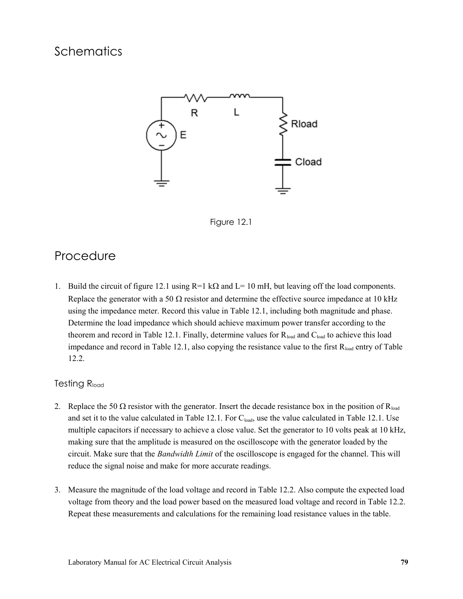## **Schematics**





### Procedure

1. Build the circuit of figure 12.1 using  $R=1$  k $\Omega$  and  $L=10$  mH, but leaving off the load components. Replace the generator with a 50  $\Omega$  resistor and determine the effective source impedance at 10 kHz using the impedance meter. Record this value in Table 12.1, including both magnitude and phase. Determine the load impedance which should achieve maximum power transfer according to the theorem and record in Table 12.1. Finally, determine values for  $R_{load}$  and  $C_{load}$  to achieve this load impedance and record in Table 12.1, also copying the resistance value to the first  $R_{load}$  entry of Table 12.2.

#### Testing R<sub>load</sub>

- 2. Replace the 50  $\Omega$  resistor with the generator. Insert the decade resistance box in the position of R<sub>load</sub> and set it to the value calculated in Table 12.1. For  $C_{load}$ , use the value calculated in Table 12.1. Use multiple capacitors if necessary to achieve a close value. Set the generator to 10 volts peak at 10 kHz, making sure that the amplitude is measured on the oscilloscope with the generator loaded by the circuit. Make sure that the *Bandwidth Limit* of the oscilloscope is engaged for the channel. This will reduce the signal noise and make for more accurate readings.
- 3. Measure the magnitude of the load voltage and record in Table 12.2. Also compute the expected load voltage from theory and the load power based on the measured load voltage and record in Table 12.2. Repeat these measurements and calculations for the remaining load resistance values in the table.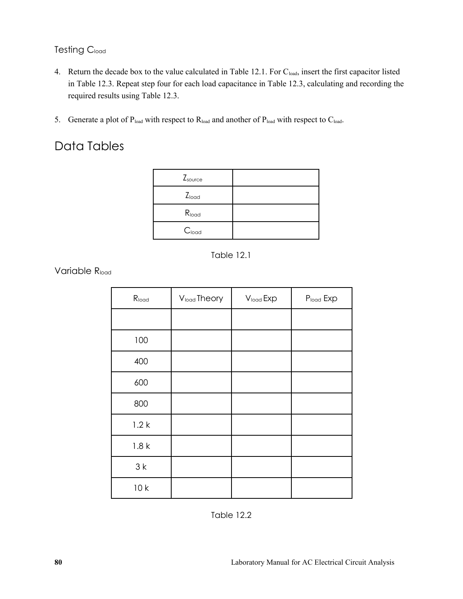#### **Testing Cload**

- 4. Return the decade box to the value calculated in Table 12.1. For C<sub>load</sub>, insert the first capacitor listed in Table 12.3. Repeat step four for each load capacitance in Table 12.3, calculating and recording the required results using Table 12.3.
- 5. Generate a plot of  $P_{load}$  with respect to  $R_{load}$  and another of  $P_{load}$  with respect to  $C_{load}$ .

## Data Tables

| $Z_{source}$      |  |
|-------------------|--|
| $Z_{load}$        |  |
| R <sub>load</sub> |  |
| C <sub>load</sub> |  |



Variable R<sub>load</sub>

| $R_{load}$ | Vload Theory | Vload Exp | Pload Exp |
|------------|--------------|-----------|-----------|
|            |              |           |           |
| 100        |              |           |           |
| 400        |              |           |           |
| 600        |              |           |           |
| 800        |              |           |           |
| 1.2k       |              |           |           |
| 1.8k       |              |           |           |
| 3k         |              |           |           |
| 10k        |              |           |           |

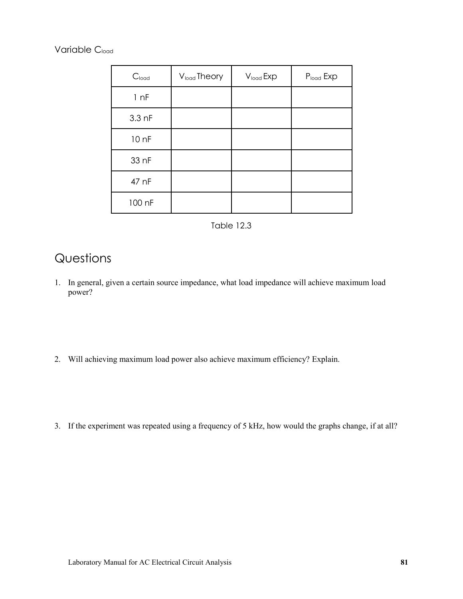Variable C<sub>load</sub>

| C <sub>load</sub> | V <sub>load</sub> Theory | V <sub>load</sub> Exp | Pload Exp |
|-------------------|--------------------------|-----------------------|-----------|
| 1 nF              |                          |                       |           |
| $3.3$ nF          |                          |                       |           |
| 10 nF             |                          |                       |           |
| 33 nF             |                          |                       |           |
| 47 nF             |                          |                       |           |
| 100 nF            |                          |                       |           |



## **Questions**

- 1. In general, given a certain source impedance, what load impedance will achieve maximum load power?
- 2. Will achieving maximum load power also achieve maximum efficiency? Explain.
- 3. If the experiment was repeated using a frequency of 5 kHz, how would the graphs change, if at all?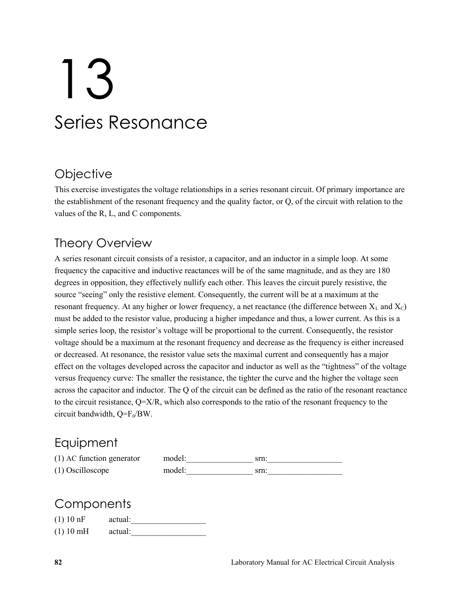# 13 Series Resonance

## **Objective**

This exercise investigates the voltage relationships in a series resonant circuit. Of primary importance are the establishment of the resonant frequency and the quality factor, or Q, of the circuit with relation to the values of the R, L, and C components.

## Theory Overview

A series resonant circuit consists of a resistor, a capacitor, and an inductor in a simple loop. At some frequency the capacitive and inductive reactances will be of the same magnitude, and as they are 180 degrees in opposition, they effectively nullify each other. This leaves the circuit purely resistive, the source "seeing" only the resistive element. Consequently, the current will be at a maximum at the resonant frequency. At any higher or lower frequency, a net reactance (the difference between  $X_L$  and  $X_C$ ) must be added to the resistor value, producing a higher impedance and thus, a lower current. As this is a simple series loop, the resistor's voltage will be proportional to the current. Consequently, the resistor voltage should be a maximum at the resonant frequency and decrease as the frequency is either increased or decreased. At resonance, the resistor value sets the maximal current and consequently has a major effect on the voltages developed across the capacitor and inductor as well as the "tightness" of the voltage versus frequency curve: The smaller the resistance, the tighter the curve and the higher the voltage seen across the capacitor and inductor. The Q of the circuit can be defined as the ratio of the resonant reactance to the circuit resistance, Q=X/R, which also corresponds to the ratio of the resonant frequency to the circuit bandwidth,  $Q = F_0/BW$ .

## **Equipment**

| (1) AC function generator | model: | srn. |
|---------------------------|--------|------|
| $(1)$ Oscilloscope        | model: | srn. |

## **Components**

| (1) 10 nF | actual: |
|-----------|---------|
| (1) 10 mH | actual: |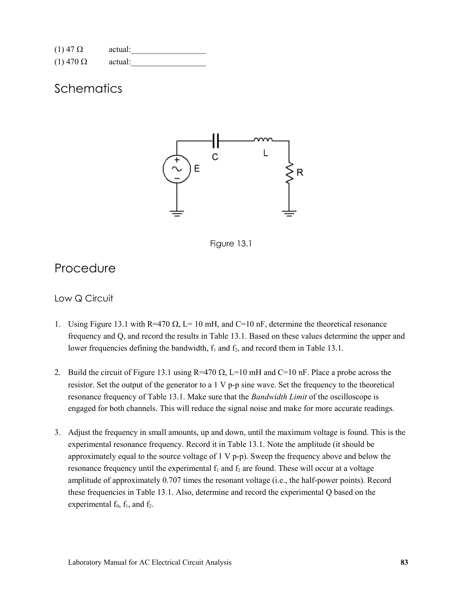| $(1)$ 47 $\Omega$  | actual: |
|--------------------|---------|
| $(1)$ 470 $\Omega$ | actual: |

## **Schematics**





### Procedure

#### Low Q Circuit

- 1. Using Figure 13.1 with R=470  $\Omega$ , L= 10 mH, and C=10 nF, determine the theoretical resonance frequency and Q, and record the results in Table 13.1. Based on these values determine the upper and lower frequencies defining the bandwidth,  $f_1$  and  $f_2$ , and record them in Table 13.1.
- 2. Build the circuit of Figure 13.1 using  $R=470 \Omega$ , L=10 mH and C=10 nF. Place a probe across the resistor. Set the output of the generator to a 1 V p-p sine wave. Set the frequency to the theoretical resonance frequency of Table 13.1. Make sure that the *Bandwidth Limit* of the oscilloscope is engaged for both channels. This will reduce the signal noise and make for more accurate readings.
- 3. Adjust the frequency in small amounts, up and down, until the maximum voltage is found. This is the experimental resonance frequency. Record it in Table 13.1. Note the amplitude (it should be approximately equal to the source voltage of  $1 \vee p-p$ ). Sweep the frequency above and below the resonance frequency until the experimental  $f_1$  and  $f_2$  are found. These will occur at a voltage amplitude of approximately 0.707 times the resonant voltage (i.e., the half-power points). Record these frequencies in Table 13.1. Also, determine and record the experimental Q based on the experimental  $f_0$ ,  $f_1$ , and  $f_2$ .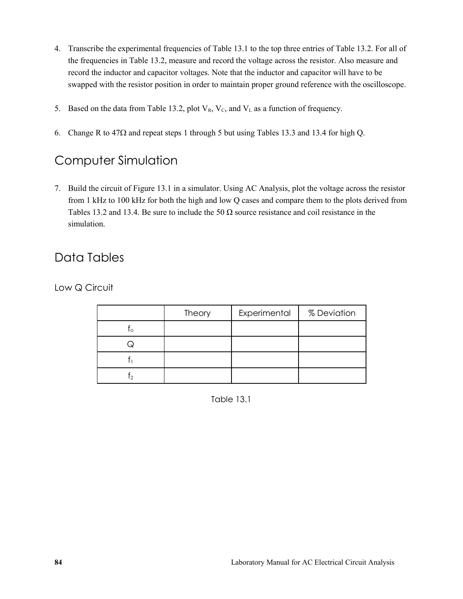- 4. Transcribe the experimental frequencies of Table 13.1 to the top three entries of Table 13.2. For all of the frequencies in Table 13.2, measure and record the voltage across the resistor. Also measure and record the inductor and capacitor voltages. Note that the inductor and capacitor will have to be swapped with the resistor position in order to maintain proper ground reference with the oscilloscope.
- 5. Based on the data from Table 13.2, plot  $V_R$ ,  $V_C$ , and  $V_L$  as a function of frequency.
- 6. Change R to  $47\Omega$  and repeat steps 1 through 5 but using Tables 13.3 and 13.4 for high Q.

## Computer Simulation

7. Build the circuit of Figure 13.1 in a simulator. Using AC Analysis, plot the voltage across the resistor from 1 kHz to 100 kHz for both the high and low Q cases and compare them to the plots derived from Tables 13.2 and 13.4. Be sure to include the 50  $\Omega$  source resistance and coil resistance in the simulation.

## Data Tables

Low Q Circuit

|          | Theory | Experimental | % Deviation |
|----------|--------|--------------|-------------|
| $\Omega$ |        |              |             |
|          |        |              |             |
|          |        |              |             |
|          |        |              |             |

Table 13.1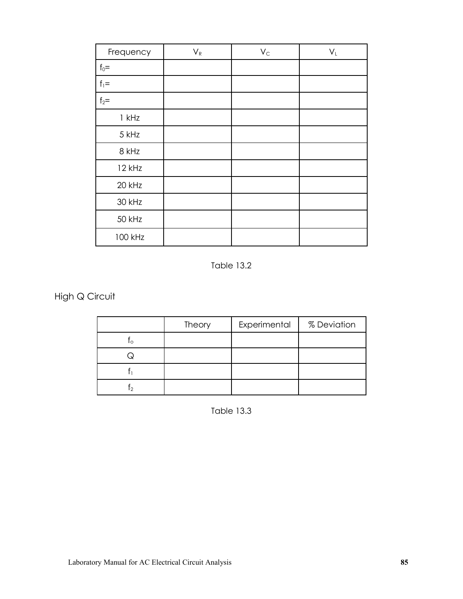| Frequency | $V_R$ | $V_C$ | $V_L$ |
|-----------|-------|-------|-------|
| $f_0 =$   |       |       |       |
| $f_1 =$   |       |       |       |
| $f_2=$    |       |       |       |
| $1$ kHz   |       |       |       |
| 5 kHz     |       |       |       |
| 8 kHz     |       |       |       |
| 12 kHz    |       |       |       |
| 20 kHz    |       |       |       |
| 30 kHz    |       |       |       |
| 50 kHz    |       |       |       |
| 100 kHz   |       |       |       |

Table 13.2

High Q Circuit

|          | Theory | Experimental | % Deviation |
|----------|--------|--------------|-------------|
| $\Omega$ |        |              |             |
|          |        |              |             |
|          |        |              |             |
|          |        |              |             |

Table 13.3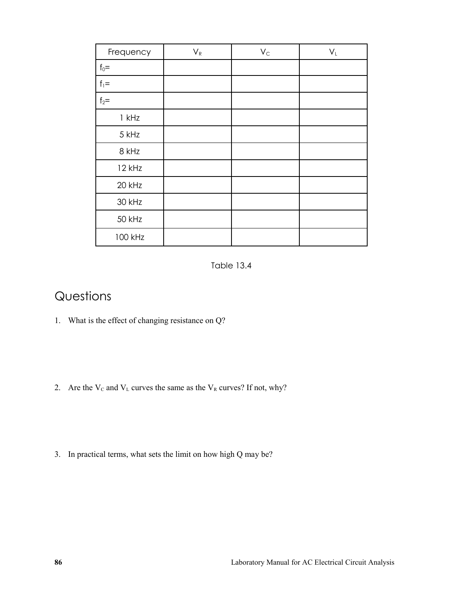| Frequency | $V_R$ | $V_C$ | $\mathsf{V}_\mathsf{L}$ |
|-----------|-------|-------|-------------------------|
| $f_0 =$   |       |       |                         |
| $f_1 =$   |       |       |                         |
| $f_2=$    |       |       |                         |
| $1$ kHz   |       |       |                         |
| 5 kHz     |       |       |                         |
| 8 kHz     |       |       |                         |
| 12 kHz    |       |       |                         |
| 20 kHz    |       |       |                         |
| 30 kHz    |       |       |                         |
| 50 kHz    |       |       |                         |
| 100 kHz   |       |       |                         |

Table 13.4

## Questions

- 1. What is the effect of changing resistance on Q?
- 2. Are the  $V_c$  and  $V_L$  curves the same as the  $V_R$  curves? If not, why?
- 3. In practical terms, what sets the limit on how high Q may be?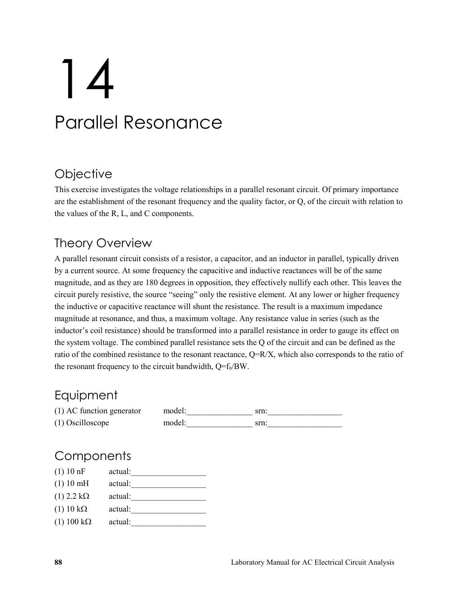# 14 Parallel Resonance

# **Objective**

This exercise investigates the voltage relationships in a parallel resonant circuit. Of primary importance are the establishment of the resonant frequency and the quality factor, or Q, of the circuit with relation to the values of the R, L, and C components.

## Theory Overview

A parallel resonant circuit consists of a resistor, a capacitor, and an inductor in parallel, typically driven by a current source. At some frequency the capacitive and inductive reactances will be of the same magnitude, and as they are 180 degrees in opposition, they effectively nullify each other. This leaves the circuit purely resistive, the source "seeing" only the resistive element. At any lower or higher frequency the inductive or capacitive reactance will shunt the resistance. The result is a maximum impedance magnitude at resonance, and thus, a maximum voltage. Any resistance value in series (such as the inductor's coil resistance) should be transformed into a parallel resistance in order to gauge its effect on the system voltage. The combined parallel resistance sets the Q of the circuit and can be defined as the ratio of the combined resistance to the resonant reactance,  $Q=R/X$ , which also corresponds to the ratio of the resonant frequency to the circuit bandwidth,  $Q=f_0/BW$ .

## **Equipment**

| $(1)$ AC function generator | model: | srn: |
|-----------------------------|--------|------|
| $(1)$ Oscilloscope          | model: | srn: |

## **Components**

| (1) 10 nF            | actual: |
|----------------------|---------|
| (1) 10 mH            | actual: |
| $(1)$ 2.2 k $\Omega$ | actual: |
| $(1)$ 10 k $\Omega$  | actual: |
| $(1)$ 100 k $\Omega$ | actual: |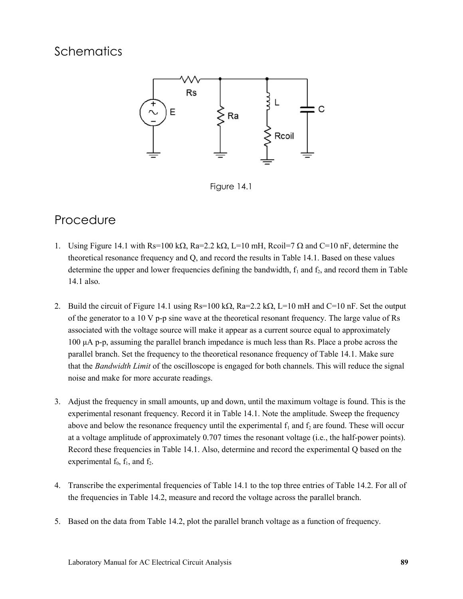## **Schematics**



Figure 14.1

### Procedure

- 1. Using Figure 14.1 with Rs=100 k $\Omega$ , Ra=2.2 k $\Omega$ , L=10 mH, Rcoil=7  $\Omega$  and C=10 nF, determine the theoretical resonance frequency and Q, and record the results in Table 14.1. Based on these values determine the upper and lower frequencies defining the bandwidth,  $f_1$  and  $f_2$ , and record them in Table 14.1 also.
- 2. Build the circuit of Figure 14.1 using  $Rs=100 \text{ k}\Omega$ ,  $Ra=2.2 \text{ k}\Omega$ ,  $L=10 \text{ mH}$  and  $C=10 \text{ nF}$ . Set the output of the generator to a 10 V p-p sine wave at the theoretical resonant frequency. The large value of Rs associated with the voltage source will make it appear as a current source equal to approximately 100 μA p-p, assuming the parallel branch impedance is much less than Rs. Place a probe across the parallel branch. Set the frequency to the theoretical resonance frequency of Table 14.1. Make sure that the *Bandwidth Limit* of the oscilloscope is engaged for both channels. This will reduce the signal noise and make for more accurate readings.
- 3. Adjust the frequency in small amounts, up and down, until the maximum voltage is found. This is the experimental resonant frequency. Record it in Table 14.1. Note the amplitude. Sweep the frequency above and below the resonance frequency until the experimental  $f_1$  and  $f_2$  are found. These will occur at a voltage amplitude of approximately 0.707 times the resonant voltage (i.e., the half-power points). Record these frequencies in Table 14.1. Also, determine and record the experimental Q based on the experimental  $f_0$ ,  $f_1$ , and  $f_2$ .
- 4. Transcribe the experimental frequencies of Table 14.1 to the top three entries of Table 14.2. For all of the frequencies in Table 14.2, measure and record the voltage across the parallel branch.
- 5. Based on the data from Table 14.2, plot the parallel branch voltage as a function of frequency.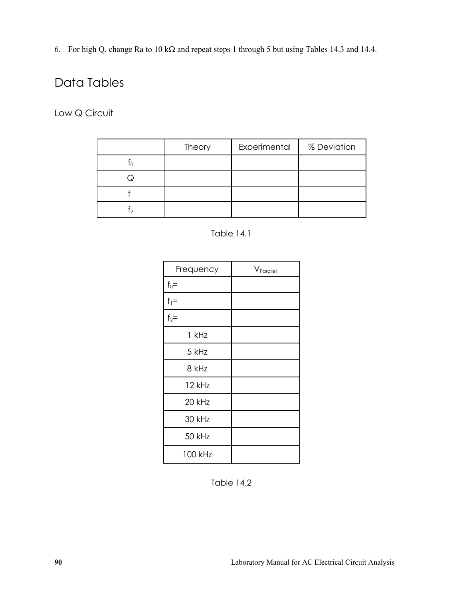6. For high Q, change Ra to 10 k $\Omega$  and repeat steps 1 through 5 but using Tables 14.3 and 14.4.

## Data Tables

Low Q Circuit

| Theory | Experimental | % Deviation |
|--------|--------------|-------------|
|        |              |             |
|        |              |             |
|        |              |             |
|        |              |             |

Table 14.1

| Frequency | V <sub>Parallel</sub> |
|-----------|-----------------------|
| $f_0 =$   |                       |
| $f_1 =$   |                       |
| $f_2=$    |                       |
| 1 kHz     |                       |
| 5 kHz     |                       |
| 8 kHz     |                       |
| 12 kHz    |                       |
| 20 kHz    |                       |
| 30 kHz    |                       |
| 50 kHz    |                       |
| 100 kHz   |                       |

Table 14.2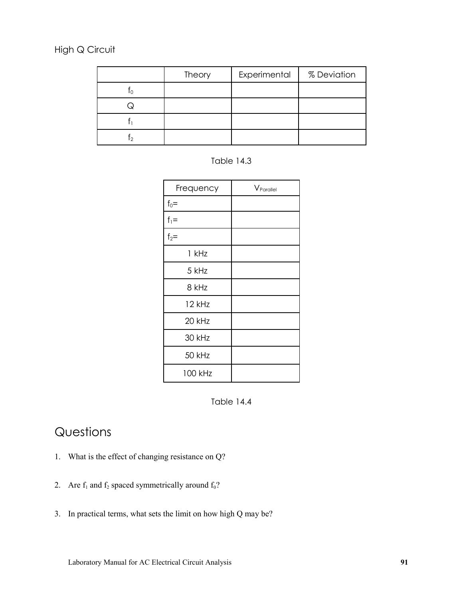#### High Q Circuit

| Theory | Experimental | % Deviation |
|--------|--------------|-------------|
|        |              |             |
|        |              |             |
|        |              |             |
|        |              |             |

Table 14.3

| Frequency | V <sub>Parallel</sub> |
|-----------|-----------------------|
| $f_0 =$   |                       |
| $f_1 =$   |                       |
| $f_2=$    |                       |
| 1 kHz     |                       |
| 5 kHz     |                       |
| 8 kHz     |                       |
| 12 kHz    |                       |
| 20 kHz    |                       |
| 30 kHz    |                       |
| 50 kHz    |                       |
| 100 kHz   |                       |



## Questions

- 1. What is the effect of changing resistance on Q?
- 2. Are  $f_1$  and  $f_2$  spaced symmetrically around  $f_0$ ?
- 3. In practical terms, what sets the limit on how high Q may be?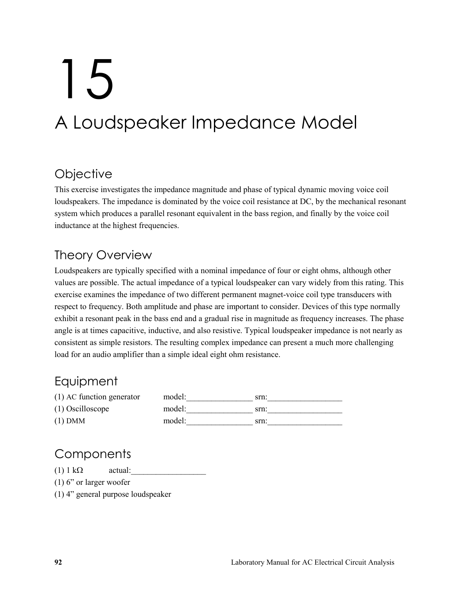# 15 A Loudspeaker Impedance Model

## **Objective**

This exercise investigates the impedance magnitude and phase of typical dynamic moving voice coil loudspeakers. The impedance is dominated by the voice coil resistance at DC, by the mechanical resonant system which produces a parallel resonant equivalent in the bass region, and finally by the voice coil inductance at the highest frequencies.

# Theory Overview

Loudspeakers are typically specified with a nominal impedance of four or eight ohms, although other values are possible. The actual impedance of a typical loudspeaker can vary widely from this rating. This exercise examines the impedance of two different permanent magnet-voice coil type transducers with respect to frequency. Both amplitude and phase are important to consider. Devices of this type normally exhibit a resonant peak in the bass end and a gradual rise in magnitude as frequency increases. The phase angle is at times capacitive, inductive, and also resistive. Typical loudspeaker impedance is not nearly as consistent as simple resistors. The resulting complex impedance can present a much more challenging load for an audio amplifier than a simple ideal eight ohm resistance.

## **Equipment**

| $(1)$ AC function generator | model: | srn: |
|-----------------------------|--------|------|
| $(1)$ Oscilloscope          | model: | srn: |
| $(1)$ DMM                   | model: | srn: |

## **Components**

(1)  $1 \text{ k}\Omega$  actual:

(1) 6" or larger woofer

(1) 4" general purpose loudspeaker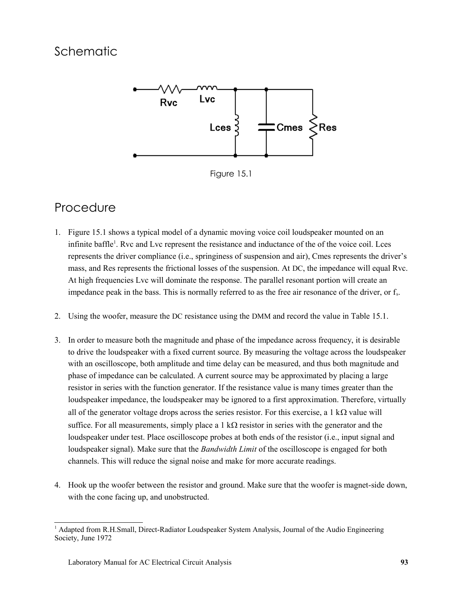## Schematic



Figure 15.1

### Procedure

- 1. Figure 15.1 shows a typical model of a dynamic moving voice coil loudspeaker mounted on an infinite baffle<sup>[1](#page-92-0)</sup>. Rvc and Lvc represent the resistance and inductance of the of the voice coil. Lces represents the driver compliance (i.e., springiness of suspension and air), Cmes represents the driver's mass, and Res represents the frictional losses of the suspension. At DC, the impedance will equal Rvc. At high frequencies Lvc will dominate the response. The parallel resonant portion will create an impedance peak in the bass. This is normally referred to as the free air resonance of the driver, or  $f_s$ .
- 2. Using the woofer, measure the DC resistance using the DMM and record the value in Table 15.1.
- 3. In order to measure both the magnitude and phase of the impedance across frequency, it is desirable to drive the loudspeaker with a fixed current source. By measuring the voltage across the loudspeaker with an oscilloscope, both amplitude and time delay can be measured, and thus both magnitude and phase of impedance can be calculated. A current source may be approximated by placing a large resistor in series with the function generator. If the resistance value is many times greater than the loudspeaker impedance, the loudspeaker may be ignored to a first approximation. Therefore, virtually all of the generator voltage drops across the series resistor. For this exercise, a 1 k $\Omega$  value will suffice. For all measurements, simply place a 1 k $\Omega$  resistor in series with the generator and the loudspeaker under test. Place oscilloscope probes at both ends of the resistor (i.e., input signal and loudspeaker signal). Make sure that the *Bandwidth Limit* of the oscilloscope is engaged for both channels. This will reduce the signal noise and make for more accurate readings.
- 4. Hook up the woofer between the resistor and ground. Make sure that the woofer is magnet-side down, with the cone facing up, and unobstructed.

<span id="page-92-0"></span><sup>&</sup>lt;sup>1</sup> Adapted from R.H.Small, Direct-Radiator Loudspeaker System Analysis, Journal of the Audio Engineering Society, June 1972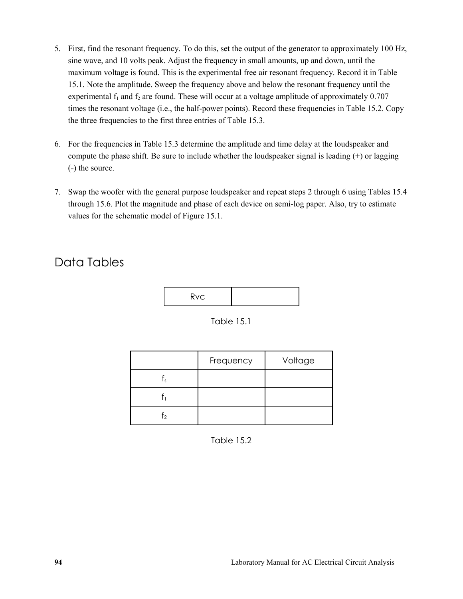- 5. First, find the resonant frequency. To do this, set the output of the generator to approximately 100 Hz, sine wave, and 10 volts peak. Adjust the frequency in small amounts, up and down, until the maximum voltage is found. This is the experimental free air resonant frequency. Record it in Table 15.1. Note the amplitude. Sweep the frequency above and below the resonant frequency until the experimental  $f_1$  and  $f_2$  are found. These will occur at a voltage amplitude of approximately 0.707 times the resonant voltage (i.e., the half-power points). Record these frequencies in Table 15.2. Copy the three frequencies to the first three entries of Table 15.3.
- 6. For the frequencies in Table 15.3 determine the amplitude and time delay at the loudspeaker and compute the phase shift. Be sure to include whether the loudspeaker signal is leading (+) or lagging (-) the source.
- 7. Swap the woofer with the general purpose loudspeaker and repeat steps 2 through 6 using Tables 15.4 through 15.6. Plot the magnitude and phase of each device on semi-log paper. Also, try to estimate values for the schematic model of Figure 15.1.

## Data Tables

|--|--|

Table 15.1

|            | Frequency | Voltage |
|------------|-----------|---------|
| $\epsilon$ |           |         |
|            |           |         |
|            |           |         |

Table 15.2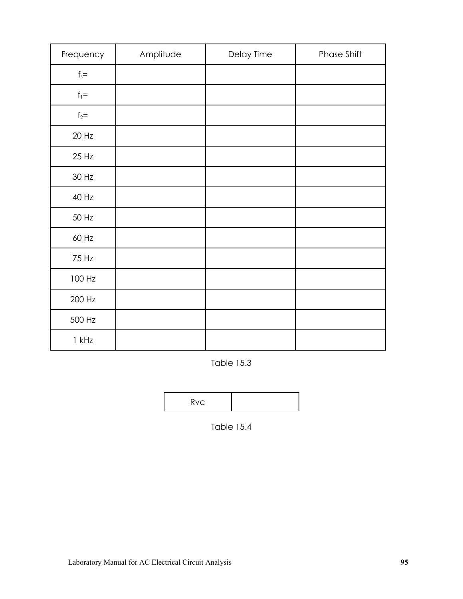| Frequency | Amplitude | Delay Time | Phase Shift |
|-----------|-----------|------------|-------------|
| $f_s =$   |           |            |             |
| $f_1 =$   |           |            |             |
| $f_2 =$   |           |            |             |
| 20 Hz     |           |            |             |
| 25 Hz     |           |            |             |
| 30 Hz     |           |            |             |
| 40 Hz     |           |            |             |
| 50 Hz     |           |            |             |
| 60 Hz     |           |            |             |
| 75 Hz     |           |            |             |
| 100 Hz    |           |            |             |
| 200 Hz    |           |            |             |
| 500 Hz    |           |            |             |
| $1$ kHz   |           |            |             |

Table 15.3

Rvc

Table 15.4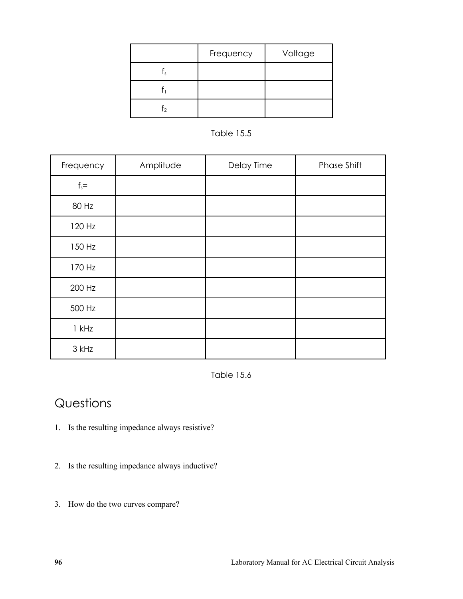|    | Frequency | Voltage |
|----|-----------|---------|
| Ιc |           |         |
|    |           |         |
| T٥ |           |         |



| Frequency | Amplitude | Delay Time | Phase Shift |
|-----------|-----------|------------|-------------|
| $f_s =$   |           |            |             |
| 80 Hz     |           |            |             |
| 120 Hz    |           |            |             |
| 150 Hz    |           |            |             |
| 170 Hz    |           |            |             |
| 200 Hz    |           |            |             |
| 500 Hz    |           |            |             |
| $1$ kHz   |           |            |             |
| 3 kHz     |           |            |             |

Table 15.6

## Questions

- 1. Is the resulting impedance always resistive?
- 2. Is the resulting impedance always inductive?
- 3. How do the two curves compare?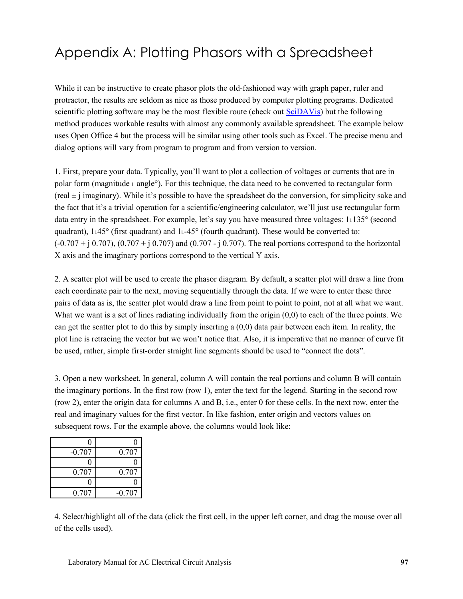# Appendix A: Plotting Phasors with a Spreadsheet

While it can be instructive to create phasor plots the old-fashioned way with graph paper, ruler and protractor, the results are seldom as nice as those produced by computer plotting programs. Dedicated scientific plotting software may be the most flexible route (check out [SciDAVis\)](http://scidavis.sourceforge.net/) but the following method produces workable results with almost any commonly available spreadsheet. The example below uses Open Office 4 but the process will be similar using other tools such as Excel. The precise menu and dialog options will vary from program to program and from version to version.

1. First, prepare your data. Typically, you'll want to plot a collection of voltages or currents that are in polar form (magnitude  $\text{L}$  angle<sup>o</sup>). For this technique, the data need to be converted to rectangular form  $(\text{real} \pm \text{j} \text{ imaginary})$ . While it's possible to have the spreadsheet do the conversion, for simplicity sake and the fact that it's a trivial operation for a scientific/engineering calculator, we'll just use rectangular form data entry in the spreadsheet. For example, let's say you have measured three voltages: 1˪135° (second quadrant),  $1.45^{\circ}$  (first quadrant) and  $1.45^{\circ}$  (fourth quadrant). These would be converted to:  $(-0.707 + i 0.707)$ ,  $(0.707 + i 0.707)$  and  $(0.707 - i 0.707)$ . The real portions correspond to the horizontal X axis and the imaginary portions correspond to the vertical Y axis.

2. A scatter plot will be used to create the phasor diagram. By default, a scatter plot will draw a line from each coordinate pair to the next, moving sequentially through the data. If we were to enter these three pairs of data as is, the scatter plot would draw a line from point to point to point, not at all what we want. What we want is a set of lines radiating individually from the origin (0,0) to each of the three points. We can get the scatter plot to do this by simply inserting a (0,0) data pair between each item. In reality, the plot line is retracing the vector but we won't notice that. Also, it is imperative that no manner of curve fit be used, rather, simple first-order straight line segments should be used to "connect the dots".

3. Open a new worksheet. In general, column A will contain the real portions and column B will contain the imaginary portions. In the first row (row 1), enter the text for the legend. Starting in the second row (row 2), enter the origin data for columns A and B, i.e., enter 0 for these cells. In the next row, enter the real and imaginary values for the first vector. In like fashion, enter origin and vectors values on subsequent rows. For the example above, the columns would look like:

| $-0.707$ | 0.707    |
|----------|----------|
|          |          |
| 0.707    | 0.707    |
|          |          |
| 0.707    | $-0.707$ |

4. Select/highlight all of the data (click the first cell, in the upper left corner, and drag the mouse over all of the cells used).